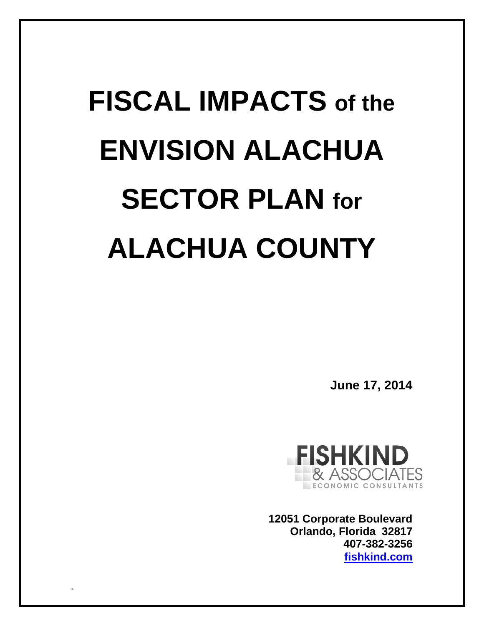# **FISCAL IMPACTS of the ENVISION ALACHUA SECTOR PLAN for ALACHUA COUNTY**

`

**June 17, 2014**



**12051 Corporate Boulevard Orlando, Florida 32817 407-382-3256 fishkind.com**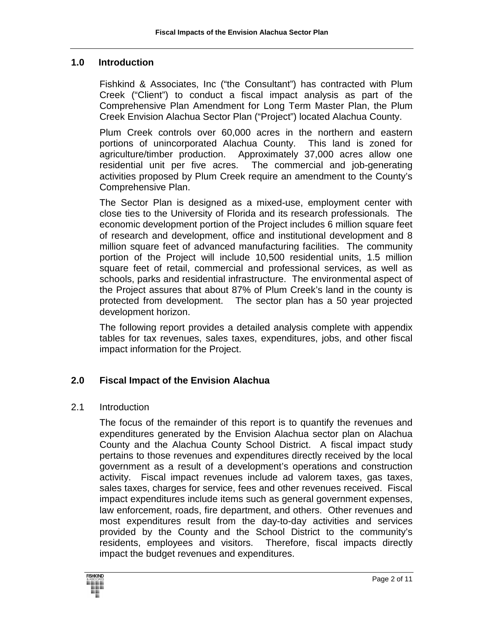#### **1.0 Introduction**

Fishkind & Associates, Inc ("the Consultant") has contracted with Plum Creek ("Client") to conduct a fiscal impact analysis as part of the Comprehensive Plan Amendment for Long Term Master Plan, the Plum Creek Envision Alachua Sector Plan ("Project") located Alachua County.

Plum Creek controls over 60,000 acres in the northern and eastern portions of unincorporated Alachua County. This land is zoned for agriculture/timber production. Approximately 37,000 acres allow one residential unit per five acres. The commercial and job-generating activities proposed by Plum Creek require an amendment to the County's Comprehensive Plan.

The Sector Plan is designed as a mixed-use, employment center with close ties to the University of Florida and its research professionals. The economic development portion of the Project includes 6 million square feet of research and development, office and institutional development and 8 million square feet of advanced manufacturing facilities. The community portion of the Project will include 10,500 residential units, 1.5 million square feet of retail, commercial and professional services, as well as schools, parks and residential infrastructure. The environmental aspect of the Project assures that about 87% of Plum Creek's land in the county is protected from development. The sector plan has a 50 year projected development horizon.

The following report provides a detailed analysis complete with appendix tables for tax revenues, sales taxes, expenditures, jobs, and other fiscal impact information for the Project.

## **2.0 Fiscal Impact of the Envision Alachua**

#### 2.1 Introduction

The focus of the remainder of this report is to quantify the revenues and expenditures generated by the Envision Alachua sector plan on Alachua County and the Alachua County School District. A fiscal impact study pertains to those revenues and expenditures directly received by the local government as a result of a development's operations and construction activity. Fiscal impact revenues include ad valorem taxes, gas taxes, sales taxes, charges for service, fees and other revenues received. Fiscal impact expenditures include items such as general government expenses, law enforcement, roads, fire department, and others. Other revenues and most expenditures result from the day-to-day activities and services provided by the County and the School District to the community's residents, employees and visitors. Therefore, fiscal impacts directly impact the budget revenues and expenditures.

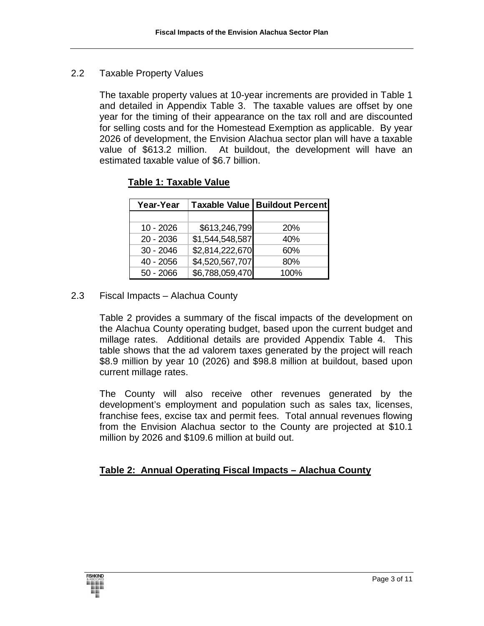#### 2.2 Taxable Property Values

 The taxable property values at 10-year increments are provided in Table 1 and detailed in Appendix Table 3. The taxable values are offset by one year for the timing of their appearance on the tax roll and are discounted for selling costs and for the Homestead Exemption as applicable. By year 2026 of development, the Envision Alachua sector plan will have a taxable value of \$613.2 million. At buildout, the development will have an estimated taxable value of \$6.7 billion.

| Year-Year   | <b>Taxable Value</b> | <b>Buildout Percent</b> |
|-------------|----------------------|-------------------------|
|             |                      |                         |
| $10 - 2026$ | \$613,246,799        | 20%                     |
| $20 - 2036$ | \$1,544,548,587      | 40%                     |
| $30 - 2046$ | \$2,814,222,670      | 60%                     |
| 40 - 2056   | \$4,520,567,707      | 80%                     |
| $50 - 2066$ | \$6,788,059,470      | 100%                    |

## **Table 1: Taxable Value**

## 2.3 Fiscal Impacts – Alachua County

Table 2 provides a summary of the fiscal impacts of the development on the Alachua County operating budget, based upon the current budget and millage rates. Additional details are provided Appendix Table 4. This table shows that the ad valorem taxes generated by the project will reach \$8.9 million by year 10 (2026) and \$98.8 million at buildout, based upon current millage rates.

The County will also receive other revenues generated by the development's employment and population such as sales tax, licenses, franchise fees, excise tax and permit fees. Total annual revenues flowing from the Envision Alachua sector to the County are projected at \$10.1 million by 2026 and \$109.6 million at build out.

#### **Table 2: Annual Operating Fiscal Impacts – Alachua County**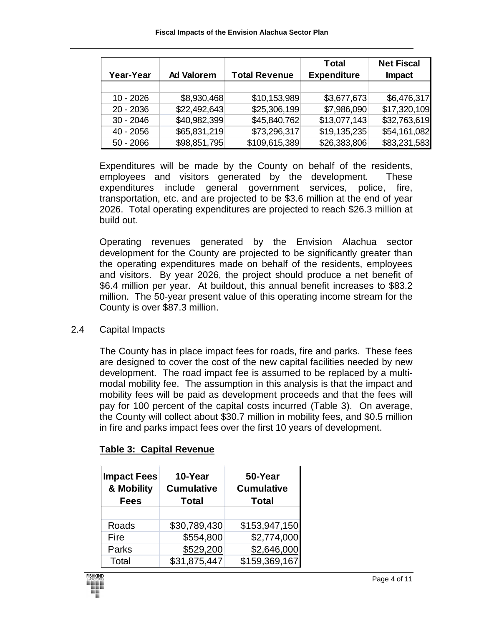|             |                   |                      | Total              | <b>Net Fiscal</b> |
|-------------|-------------------|----------------------|--------------------|-------------------|
| Year-Year   | <b>Ad Valorem</b> | <b>Total Revenue</b> | <b>Expenditure</b> | Impact            |
|             |                   |                      |                    |                   |
| $10 - 2026$ | \$8,930,468       | \$10,153,989         | \$3,677,673        | \$6,476,317       |
| $20 - 2036$ | \$22,492,643      | \$25,306,199         | \$7,986,090        | \$17,320,109      |
| $30 - 2046$ | \$40,982,399      | \$45,840,762         | \$13,077,143       | \$32,763,619      |
| $40 - 2056$ | \$65,831,219      | \$73,296,317         | \$19,135,235       | \$54,161,082      |
| $50 - 2066$ | \$98,851,795      | \$109,615,389        | \$26,383,806       | \$83,231,583      |

Expenditures will be made by the County on behalf of the residents, employees and visitors generated by the development. These expenditures include general government services, police, fire, transportation, etc. and are projected to be \$3.6 million at the end of year 2026. Total operating expenditures are projected to reach \$26.3 million at build out.

Operating revenues generated by the Envision Alachua sector development for the County are projected to be significantly greater than the operating expenditures made on behalf of the residents, employees and visitors. By year 2026, the project should produce a net benefit of \$6.4 million per year. At buildout, this annual benefit increases to \$83.2 million. The 50-year present value of this operating income stream for the County is over \$87.3 million.

2.4 Capital Impacts

 The County has in place impact fees for roads, fire and parks. These fees are designed to cover the cost of the new capital facilities needed by new development. The road impact fee is assumed to be replaced by a multimodal mobility fee. The assumption in this analysis is that the impact and mobility fees will be paid as development proceeds and that the fees will pay for 100 percent of the capital costs incurred (Table 3). On average, the County will collect about \$30.7 million in mobility fees, and \$0.5 million in fire and parks impact fees over the first 10 years of development.

| <b>Impact Fees</b><br>& Mobility<br><b>Fees</b> | 10-Year<br><b>Cumulative</b><br><b>Total</b> | 50-Year<br><b>Cumulative</b><br><b>Total</b> |
|-------------------------------------------------|----------------------------------------------|----------------------------------------------|
|                                                 |                                              |                                              |
| Roads                                           | \$30,789,430                                 | \$153,947,150                                |
| Fire                                            | \$554,800                                    | \$2,774,000                                  |
| Parks                                           | \$529,200                                    | \$2,646,000                                  |
| Total                                           | \$31,875,447                                 | \$159,369,167                                |

#### **Table 3: Capital Revenue**

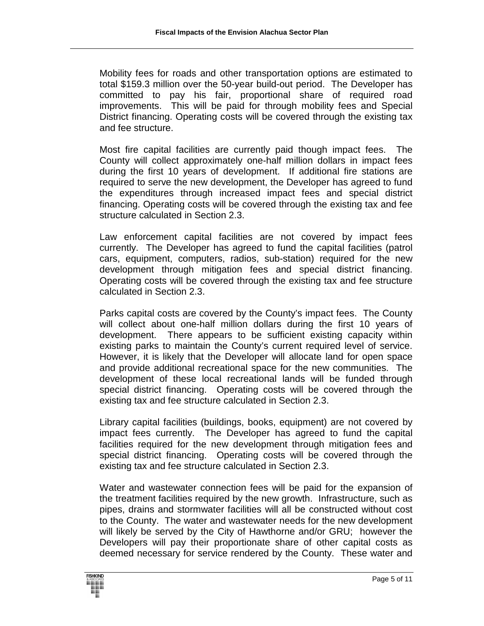Mobility fees for roads and other transportation options are estimated to total \$159.3 million over the 50-year build-out period. The Developer has committed to pay his fair, proportional share of required road improvements. This will be paid for through mobility fees and Special District financing. Operating costs will be covered through the existing tax and fee structure.

 Most fire capital facilities are currently paid though impact fees. The County will collect approximately one-half million dollars in impact fees during the first 10 years of development. If additional fire stations are required to serve the new development, the Developer has agreed to fund the expenditures through increased impact fees and special district financing. Operating costs will be covered through the existing tax and fee structure calculated in Section 2.3.

 Law enforcement capital facilities are not covered by impact fees currently. The Developer has agreed to fund the capital facilities (patrol cars, equipment, computers, radios, sub-station) required for the new development through mitigation fees and special district financing. Operating costs will be covered through the existing tax and fee structure calculated in Section 2.3.

 Parks capital costs are covered by the County's impact fees. The County will collect about one-half million dollars during the first 10 years of development. There appears to be sufficient existing capacity within existing parks to maintain the County's current required level of service. However, it is likely that the Developer will allocate land for open space and provide additional recreational space for the new communities. The development of these local recreational lands will be funded through special district financing. Operating costs will be covered through the existing tax and fee structure calculated in Section 2.3.

Library capital facilities (buildings, books, equipment) are not covered by impact fees currently. The Developer has agreed to fund the capital facilities required for the new development through mitigation fees and special district financing. Operating costs will be covered through the existing tax and fee structure calculated in Section 2.3.

 Water and wastewater connection fees will be paid for the expansion of the treatment facilities required by the new growth. Infrastructure, such as pipes, drains and stormwater facilities will all be constructed without cost to the County. The water and wastewater needs for the new development will likely be served by the City of Hawthorne and/or GRU; however the Developers will pay their proportionate share of other capital costs as deemed necessary for service rendered by the County. These water and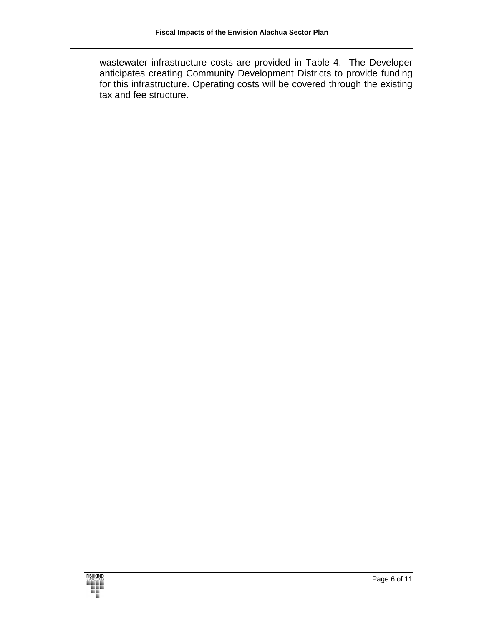wastewater infrastructure costs are provided in Table 4. The Developer anticipates creating Community Development Districts to provide funding for this infrastructure. Operating costs will be covered through the existing tax and fee structure.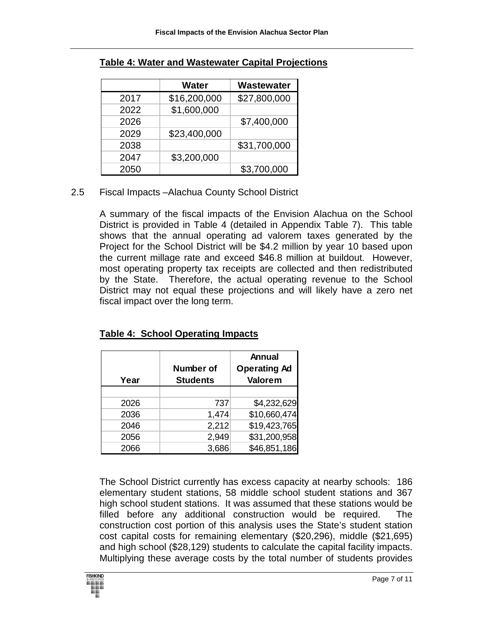|      | <b>Water</b> | Wastewater   |
|------|--------------|--------------|
| 2017 | \$16,200,000 | \$27,800,000 |
| 2022 | \$1,600,000  |              |
| 2026 |              | \$7,400,000  |
| 2029 | \$23,400,000 |              |
| 2038 |              | \$31,700,000 |
| 2047 | \$3,200,000  |              |
| 2050 |              | \$3,700,000  |

# **Table 4: Water and Wastewater Capital Projections**

## 2.5 Fiscal Impacts –Alachua County School District

A summary of the fiscal impacts of the Envision Alachua on the School District is provided in Table 4 (detailed in Appendix Table 7). This table shows that the annual operating ad valorem taxes generated by the Project for the School District will be \$4.2 million by year 10 based upon the current millage rate and exceed \$46.8 million at buildout. However, most operating property tax receipts are collected and then redistributed by the State. Therefore, the actual operating revenue to the School District may not equal these projections and will likely have a zero net fiscal impact over the long term.

| Year | Number of<br><b>Students</b> | <b>Annual</b><br><b>Operating Ad</b><br>Valorem |
|------|------------------------------|-------------------------------------------------|
|      |                              |                                                 |
| 2026 | 737                          | \$4,232,629                                     |
| 2036 | 1,474                        | \$10,660,474                                    |
| 2046 | 2,212                        | \$19,423,765                                    |
| 2056 | 2,949                        | \$31,200,958                                    |
| 2066 | 3,686                        | \$46,851,186                                    |

## **Table 4: School Operating Impacts**

The School District currently has excess capacity at nearby schools: 186 elementary student stations, 58 middle school student stations and 367 high school student stations. It was assumed that these stations would be filled before any additional construction would be required. The construction cost portion of this analysis uses the State's student station cost capital costs for remaining elementary (\$20,296), middle (\$21,695) and high school (\$28,129) students to calculate the capital facility impacts. Multiplying these average costs by the total number of students provides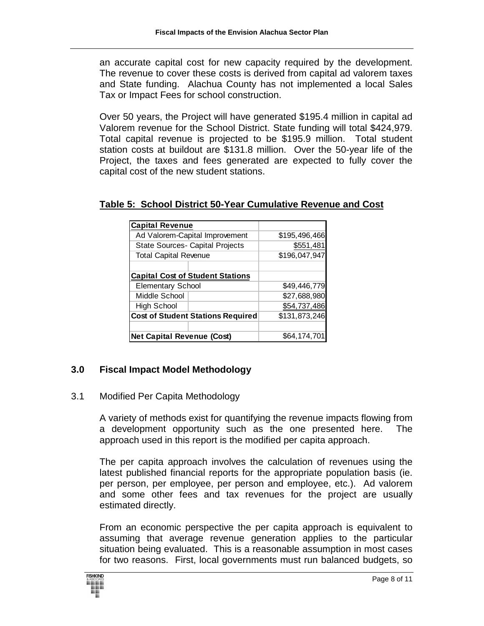an accurate capital cost for new capacity required by the development. The revenue to cover these costs is derived from capital ad valorem taxes and State funding. Alachua County has not implemented a local Sales Tax or Impact Fees for school construction.

Over 50 years, the Project will have generated \$195.4 million in capital ad Valorem revenue for the School District. State funding will total \$424,979. Total capital revenue is projected to be \$195.9 million. Total student station costs at buildout are \$131.8 million. Over the 50-year life of the Project, the taxes and fees generated are expected to fully cover the capital cost of the new student stations.

| <b>Capital Revenue</b>                  |                                          |               |
|-----------------------------------------|------------------------------------------|---------------|
|                                         | Ad Valorem-Capital Improvement           | \$195,496,466 |
|                                         | <b>State Sources- Capital Projects</b>   | \$551,481     |
| <b>Total Capital Revenue</b>            |                                          | \$196,047,947 |
|                                         |                                          |               |
| <b>Capital Cost of Student Stations</b> |                                          |               |
| <b>Elementary School</b>                |                                          | \$49,446,779  |
| Middle School                           |                                          | \$27,688,980  |
| <b>High School</b>                      |                                          | \$54,737,486  |
|                                         | <b>Cost of Student Stations Required</b> | \$131,873,246 |
|                                         |                                          |               |
| <b>Net Capital Revenue (Cost)</b>       |                                          | \$64,174,70   |

# **Table 5: School District 50-Year Cumulative Revenue and Cost**

## **3.0 Fiscal Impact Model Methodology**

#### 3.1 Modified Per Capita Methodology

A variety of methods exist for quantifying the revenue impacts flowing from a development opportunity such as the one presented here. The approach used in this report is the modified per capita approach.

The per capita approach involves the calculation of revenues using the latest published financial reports for the appropriate population basis (ie. per person, per employee, per person and employee, etc.). Ad valorem and some other fees and tax revenues for the project are usually estimated directly.

From an economic perspective the per capita approach is equivalent to assuming that average revenue generation applies to the particular situation being evaluated. This is a reasonable assumption in most cases for two reasons. First, local governments must run balanced budgets, so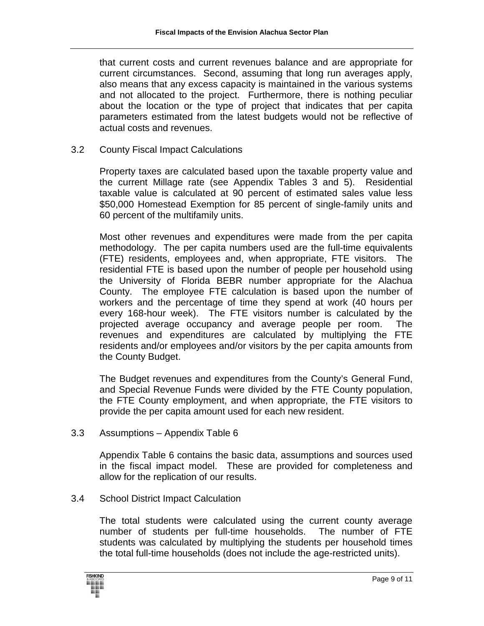that current costs and current revenues balance and are appropriate for current circumstances. Second, assuming that long run averages apply, also means that any excess capacity is maintained in the various systems and not allocated to the project. Furthermore, there is nothing peculiar about the location or the type of project that indicates that per capita parameters estimated from the latest budgets would not be reflective of actual costs and revenues.

#### 3.2 County Fiscal Impact Calculations

Property taxes are calculated based upon the taxable property value and the current Millage rate (see Appendix Tables 3 and 5). Residential taxable value is calculated at 90 percent of estimated sales value less \$50,000 Homestead Exemption for 85 percent of single-family units and 60 percent of the multifamily units.

Most other revenues and expenditures were made from the per capita methodology. The per capita numbers used are the full-time equivalents (FTE) residents, employees and, when appropriate, FTE visitors. The residential FTE is based upon the number of people per household using the University of Florida BEBR number appropriate for the Alachua County. The employee FTE calculation is based upon the number of workers and the percentage of time they spend at work (40 hours per every 168-hour week). The FTE visitors number is calculated by the projected average occupancy and average people per room. The revenues and expenditures are calculated by multiplying the FTE residents and/or employees and/or visitors by the per capita amounts from the County Budget.

The Budget revenues and expenditures from the County's General Fund, and Special Revenue Funds were divided by the FTE County population, the FTE County employment, and when appropriate, the FTE visitors to provide the per capita amount used for each new resident.

3.3 Assumptions – Appendix Table 6

Appendix Table 6 contains the basic data, assumptions and sources used in the fiscal impact model. These are provided for completeness and allow for the replication of our results.

3.4 School District Impact Calculation

The total students were calculated using the current county average number of students per full-time households. The number of FTE students was calculated by multiplying the students per household times the total full-time households (does not include the age-restricted units).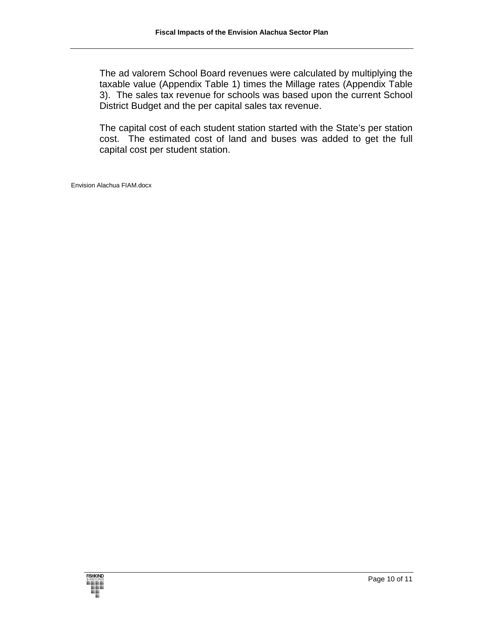The ad valorem School Board revenues were calculated by multiplying the taxable value (Appendix Table 1) times the Millage rates (Appendix Table 3). The sales tax revenue for schools was based upon the current School District Budget and the per capital sales tax revenue.

The capital cost of each student station started with the State's per station cost. The estimated cost of land and buses was added to get the full capital cost per student station.

Envision Alachua FIAM.docx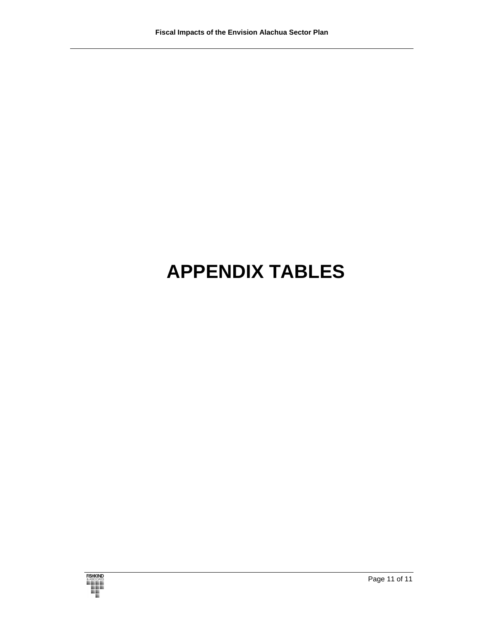# **APPENDIX TABLES**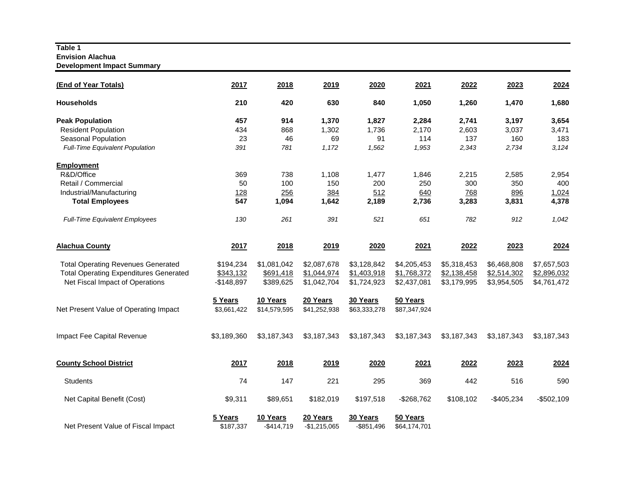#### **Table 1 Envision Alachua Development Impact Summary**

| (End of Year Totals)                                                                                                          | 2017                                  | 2018                                  | 2019                                      | 2020                                      | 2021                                      | 2022                                      | 2023                                      | 2024                                      |
|-------------------------------------------------------------------------------------------------------------------------------|---------------------------------------|---------------------------------------|-------------------------------------------|-------------------------------------------|-------------------------------------------|-------------------------------------------|-------------------------------------------|-------------------------------------------|
| <b>Households</b>                                                                                                             | 210                                   | 420                                   | 630                                       | 840                                       | 1,050                                     | 1,260                                     | 1,470                                     | 1,680                                     |
| <b>Peak Population</b>                                                                                                        | 457                                   | 914                                   | 1,370                                     | 1,827                                     | 2,284                                     | 2,741                                     | 3,197                                     | 3,654                                     |
| <b>Resident Population</b>                                                                                                    | 434                                   | 868                                   | 1,302                                     | 1,736                                     | 2,170                                     | 2,603                                     | 3,037                                     | 3,471                                     |
| Seasonal Population                                                                                                           | 23                                    | 46                                    | 69                                        | 91                                        | 114                                       | 137                                       | 160                                       | 183                                       |
| Full-Time Equivalent Population                                                                                               | 391                                   | 781                                   | 1,172                                     | 1,562                                     | 1,953                                     | 2,343                                     | 2,734                                     | 3,124                                     |
| <b>Employment</b>                                                                                                             |                                       |                                       |                                           |                                           |                                           |                                           |                                           |                                           |
| R&D/Office                                                                                                                    | 369                                   | 738                                   | 1,108                                     | 1,477                                     | 1,846                                     | 2,215                                     | 2,585                                     | 2,954                                     |
| Retail / Commercial                                                                                                           | 50                                    | 100                                   | 150                                       | 200                                       | 250                                       | 300                                       | 350                                       | 400                                       |
| Industrial/Manufacturing                                                                                                      | 128                                   | 256                                   | 384                                       | 512                                       | 640                                       | 768                                       | 896                                       | 1,024                                     |
| <b>Total Employees</b>                                                                                                        | 547                                   | 1,094                                 | 1,642                                     | 2,189                                     | 2,736                                     | 3,283                                     | 3,831                                     | 4,378                                     |
| Full-Time Equivalent Employees                                                                                                | 130                                   | 261                                   | 391                                       | 521                                       | 651                                       | 782                                       | 912                                       | 1,042                                     |
| <b>Alachua County</b>                                                                                                         | 2017                                  | 2018                                  | 2019                                      | 2020                                      | 2021                                      | 2022                                      | 2023                                      | 2024                                      |
| <b>Total Operating Revenues Generated</b><br><b>Total Operating Expenditures Generated</b><br>Net Fiscal Impact of Operations | \$194,234<br>\$343,132<br>$-$148,897$ | \$1,081,042<br>\$691,418<br>\$389,625 | \$2,087,678<br>\$1,044,974<br>\$1,042,704 | \$3,128,842<br>\$1,403,918<br>\$1,724,923 | \$4,205,453<br>\$1,768,372<br>\$2,437,081 | \$5,318,453<br>\$2,138,458<br>\$3,179,995 | \$6,468,808<br>\$2,514,302<br>\$3,954,505 | \$7,657,503<br>\$2,896,032<br>\$4,761,472 |
| Net Present Value of Operating Impact                                                                                         | 5 Years<br>\$3,661,422                | 10 Years<br>\$14,579,595              | 20 Years<br>\$41,252,938                  | 30 Years<br>\$63,333,278                  | 50 Years<br>\$87,347,924                  |                                           |                                           |                                           |
| Impact Fee Capital Revenue                                                                                                    | \$3,189,360                           | \$3,187,343                           | \$3,187,343                               | \$3,187,343                               | \$3,187,343                               | \$3,187,343                               | \$3,187,343                               | \$3,187,343                               |
| <b>County School District</b>                                                                                                 | 2017                                  | 2018                                  | 2019                                      | 2020                                      | 2021                                      | 2022                                      | 2023                                      | 2024                                      |
| <b>Students</b>                                                                                                               | 74                                    | 147                                   | 221                                       | 295                                       | 369                                       | 442                                       | 516                                       | 590                                       |
| Net Capital Benefit (Cost)                                                                                                    | \$9,311                               | \$89,651                              | \$182,019                                 | \$197,518                                 | $-$268,762$                               | \$108,102                                 | $-$405,234$                               | $-$502,109$                               |
| Net Present Value of Fiscal Impact                                                                                            | 5 Years<br>\$187,337                  | 10 Years<br>$-$414,719$               | 20 Years<br>$-$1,215,065$                 | 30 Years<br>$-$ \$851,496                 | 50 Years<br>\$64,174,701                  |                                           |                                           |                                           |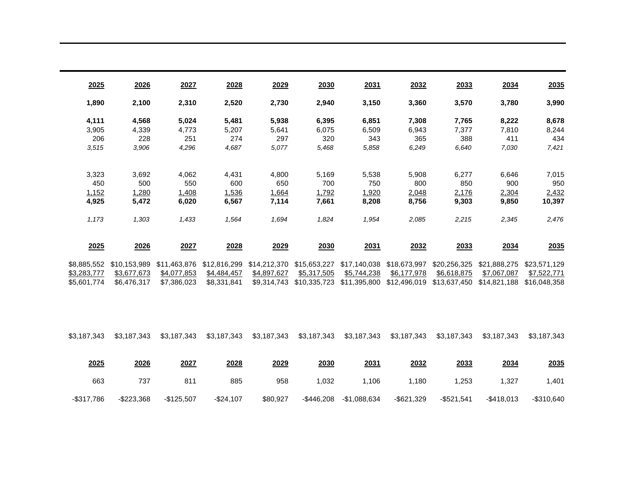| 2025        | 2026         | 2027         | 2028         | 2029         | 2030         | 2031         | 2032         | 2033         | 2034         | 2035         |
|-------------|--------------|--------------|--------------|--------------|--------------|--------------|--------------|--------------|--------------|--------------|
| 1,890       | 2,100        | 2,310        | 2,520        | 2,730        | 2,940        | 3,150        | 3,360        | 3,570        | 3,780        | 3,990        |
| 4,111       | 4,568        | 5,024        | 5,481        | 5,938        | 6,395        | 6,851        | 7,308        | 7,765        | 8,222        | 8,678        |
| 3,905       | 4,339        | 4,773        | 5,207        | 5,641        | 6,075        | 6,509        | 6,943        | 7,377        | 7,810        | 8,244        |
| 206         | 228          | 251          | 274          | 297          | 320          | 343          | 365          | 388          | 411          | 434          |
| 3,515       | 3,906        | 4,296        | 4,687        | 5,077        | 5,468        | 5,858        | 6,249        | 6,640        | 7,030        | 7,421        |
| 3,323       | 3,692        | 4,062        | 4,431        | 4,800        | 5,169        | 5,538        | 5,908        | 6,277        | 6,646        | 7,015        |
| 450         | 500          | 550          | 600          | 650          | 700          | 750          | 800          | 850          | 900          | 950          |
| 1,152       | 1,280        | 1,408        | 1,536        | 1,664        | 1,792        | 1,920        | 2,048        | 2,176        | 2,304        | 2,432        |
| 4,925       | 5,472        | 6,020        | 6,567        | 7,114        | 7,661        | 8,208        | 8,756        | 9,303        | 9,850        | 10,397       |
| 1,173       | 1,303        | 1,433        | 1,564        | 1,694        | 1,824        | 1,954        | 2,085        | 2,215        | 2,345        | 2,476        |
| 2025        | 2026         | 2027         | 2028         | 2029         | 2030         | 2031         | 2032         | 2033         | 2034         | 2035         |
| \$8,885,552 | \$10.153.989 | \$11.463.876 | \$12,816,299 | \$14,212,370 | \$15,653,227 | \$17,140,038 | \$18,673,997 | \$20,256,325 | \$21,888,275 | \$23,571,129 |
| \$3,283,777 | \$3,677,673  | \$4,077,853  | \$4,484,457  | \$4,897,627  | \$5,317,505  | \$5,744,238  | \$6,177,978  | \$6,618,875  | \$7,067,087  | \$7,522,771  |
| \$5,601,774 | \$6,476,317  | \$7,386,023  | \$8,331,841  | \$9,314,743  | \$10,335,723 | \$11,395,800 | \$12,496,019 | \$13,637,450 | \$14,821,188 | \$16,048,358 |
| \$3,187,343 | \$3,187,343  | \$3,187,343  | \$3,187,343  | \$3,187,343  | \$3,187,343  | \$3,187,343  | \$3,187,343  | \$3,187,343  | \$3,187,343  | \$3,187,343  |
| 2025        | 2026         | 2027         | 2028         | 2029         | 2030         | 2031         | 2032         | 2033         | 2034         | 2035         |
|             |              |              |              |              |              |              |              |              |              |              |
| 663         | 737          | 811          | 885          | 958          | 1,032        | 1,106        | 1,180        | 1,253        | 1,327        | 1,401        |

-\$317,786 -\$223,368 -\$125,507 -\$24,107 \$80,927 -\$446,208 -\$1,088,634 -\$621,329 -\$521,541 -\$418,013 -\$310,640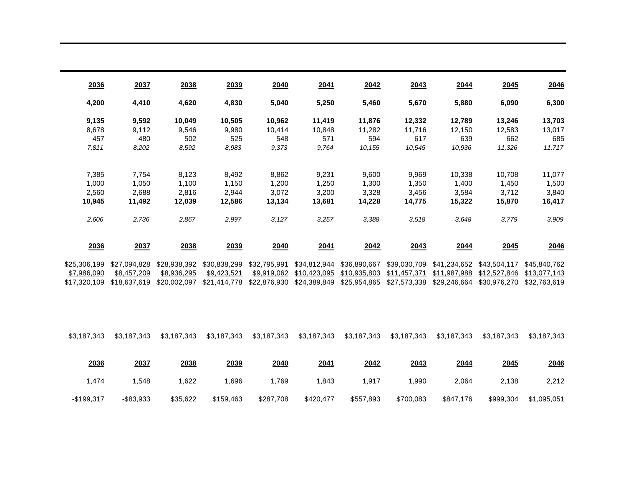| 2036         | 2037         | 2038         | 2039         | 2040         | 2041         | 2042         | 2043         | 2044         | 2045         | 2046         |
|--------------|--------------|--------------|--------------|--------------|--------------|--------------|--------------|--------------|--------------|--------------|
| 4,200        | 4,410        | 4,620        | 4,830        | 5,040        | 5,250        | 5,460        | 5,670        | 5,880        | 6,090        | 6,300        |
| 9,135        | 9,592        | 10,049       | 10,505       | 10,962       | 11,419       | 11,876       | 12,332       | 12,789       | 13,246       | 13,703       |
| 8,678        | 9,112        | 9,546        | 9,980        | 10,414       | 10,848       | 11,282       | 11,716       | 12,150       | 12,583       | 13,017       |
| 457          | 480          | 502          | 525          | 548          | 571          | 594          | 617          | 639          | 662          | 685          |
| 7,811        | 8,202        | 8,592        | 8,983        | 9,373        | 9,764        | 10,155       | 10,545       | 10,936       | 11,326       | 11,717       |
| 7,385        | 7,754        | 8,123        | 8,492        | 8,862        | 9,231        | 9,600        | 9,969        | 10,338       | 10,708       | 11,077       |
| 1,000        | 1,050        | 1,100        | 1,150        | 1,200        | 1,250        | 1,300        | 1,350        | 1,400        | 1,450        | 1,500        |
| 2,560        | 2,688        | 2,816        | 2,944        | 3,072        | 3,200        | 3,328        | 3,456        | 3,584        | 3,712        | 3,840        |
| 10,945       | 11,492       | 12,039       | 12,586       | 13,134       | 13,681       | 14,228       | 14,775       | 15,322       | 15,870       | 16,417       |
|              |              |              |              |              |              |              |              |              |              |              |
| 2,606        | 2,736        | 2,867        | 2,997        | 3,127        | 3,257        | 3,388        | 3,518        | 3.648        | 3,779        | 3,909        |
|              |              |              |              |              |              |              |              |              |              |              |
| 2036         | 2037         | 2038         | 2039         | 2040         | 2041         | 2042         | 2043         | 2044         | 2045         | 2046         |
| \$25,306,199 | \$27,094,828 | \$28,938,392 | \$30,838,299 | \$32,795,991 | \$34,812,944 | \$36,890,667 | \$39,030,709 | \$41,234,652 | \$43,504,117 | \$45,840,762 |
| \$7,986,090  | \$8,457,209  | \$8,936,295  | \$9,423,521  | \$9,919,062  | \$10,423,095 | \$10,935,803 | \$11,457,371 | \$11,987,988 | \$12,527,846 | \$13,077,143 |
| \$17,320,109 | \$18,637,619 | \$20,002,097 | \$21,414,778 | \$22,876,930 | \$24,389,849 | \$25,954,865 | \$27,573,338 | \$29,246,664 | \$30,976,270 | \$32,763,619 |
|              |              |              |              |              |              |              |              |              |              |              |
|              |              |              |              |              |              |              |              |              |              |              |
|              |              |              |              |              |              |              |              |              |              |              |
|              |              |              |              |              |              |              |              |              |              |              |
|              |              |              |              |              |              |              |              |              |              |              |

| 2046        | 2045      | 2044      | <u> 2043</u> | 2042      | 2041      | 2040      | 2039      | 2038     | 2037         | 2036        |
|-------------|-----------|-----------|--------------|-----------|-----------|-----------|-----------|----------|--------------|-------------|
| 2,212       | 2,138     | 2,064     | .990         | 1,917     | 1,843     | .769      | .696      | ,622     | .548         | ,474        |
| \$1,095,051 | \$999,304 | \$847,176 | \$700,083    | \$557,893 | \$420,477 | \$287,708 | \$159,463 | \$35,622 | $-$ \$83,933 | $-$199.317$ |

\$3,187,343 \$3,187,343 \$3,187,343 \$3,187,343 \$3,187,343 \$3,187,343 \$3,187,343 \$3,187,343 \$3,187,343 \$3,187,343 \$3,187,343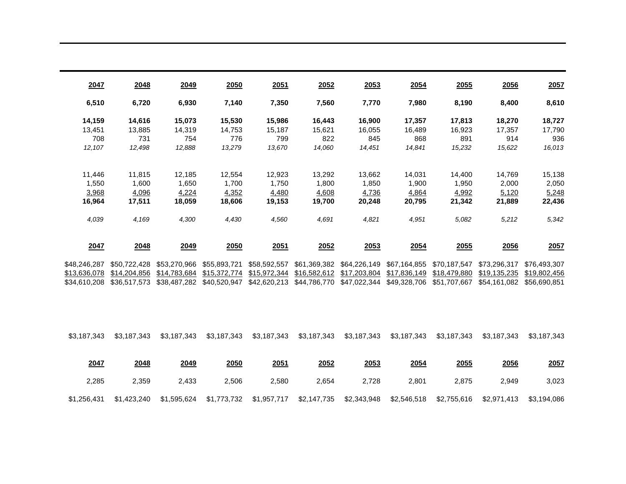| 2047         | 2048         | 2049         | 2050         | 2051         | 2052         | 2053         | 2054         | 2055         | 2056         | 2057         |
|--------------|--------------|--------------|--------------|--------------|--------------|--------------|--------------|--------------|--------------|--------------|
| 6,510        | 6,720        | 6,930        | 7,140        | 7,350        | 7,560        | 7,770        | 7,980        | 8,190        | 8,400        | 8,610        |
| 14,159       | 14,616       | 15,073       | 15,530       | 15,986       | 16,443       | 16,900       | 17,357       | 17,813       | 18,270       | 18,727       |
| 13,451       | 13,885       | 14,319       | 14,753       | 15.187       | 15,621       | 16,055       | 16,489       | 16,923       | 17,357       | 17,790       |
| 708          | 731          | 754          | 776          | 799          | 822          | 845          | 868          | 891          | 914          | 936          |
| 12,107       | 12,498       | 12,888       | 13,279       | 13,670       | 14,060       | 14,451       | 14,841       | 15,232       | 15,622       | 16,013       |
|              |              |              |              |              |              |              |              |              |              |              |
| 11,446       | 11,815       | 12,185       | 12,554       | 12,923       | 13,292       | 13,662       | 14,031       | 14,400       | 14,769       | 15,138       |
| 1.550        | 1.600        | 1,650        | 1.700        | 1.750        | 1,800        | 1.850        | 1.900        | 1.950        | 2,000        | 2,050        |
| 3,968        | 4,096        | 4,224        | 4,352        | 4,480        | 4,608        | 4,736        | 4,864        | 4,992        | 5,120        | 5,248        |
| 16,964       | 17,511       | 18,059       | 18,606       | 19,153       | 19,700       | 20,248       | 20,795       | 21,342       | 21,889       | 22,436       |
|              |              |              |              |              |              |              |              |              |              |              |
| 4,039        | 4,169        | 4,300        | 4,430        | 4,560        | 4,691        | 4,821        | 4,951        | 5,082        | 5,212        | 5,342        |
|              |              |              |              |              |              |              |              |              |              |              |
| 2047         | 2048         | 2049         | 2050         | 2051         | 2052         | 2053         | 2054         | <b>2055</b>  | 2056         | 2057         |
| \$48,246,287 | \$50,722,428 | \$53,270,966 | \$55,893,721 | \$58,592,557 | \$61,369,382 | \$64,226,149 | \$67,164,855 | \$70,187,547 | \$73,296,317 | \$76,493,307 |
| \$13,636,078 | \$14,204,856 | \$14,783,684 | \$15,372,774 | \$15,972,344 | \$16,582,612 | \$17,203,804 | \$17,836,149 | \$18,479,880 | \$19,135,235 | \$19,802,456 |
| \$34,610,208 | \$36,517,573 | \$38,487,282 | \$40,520,947 | \$42,620,213 | \$44,786,770 | \$47,022,344 | \$49,328,706 | \$51,707,667 | \$54,161,082 | \$56,690,851 |
|              |              |              |              |              |              |              |              |              |              |              |
|              |              |              |              |              |              |              |              |              |              |              |
|              |              |              |              |              |              |              |              |              |              |              |

\$3,187,343 \$3,187,343 \$3,187,343 \$3,187,343 \$3,187,343 \$3,187,343 \$3,187,343 \$3,187,343 \$3,187,343 \$3,187,343 \$3,187,343

| <u> 2057</u> | 2056        | 2055        | 2054        | 2053        | 2052        | 2051        | 2050        | 2049        | 2048        | 2047        |
|--------------|-------------|-------------|-------------|-------------|-------------|-------------|-------------|-------------|-------------|-------------|
| 3,023        | 2.949       | 2.875       | 2.801       | 2.728       | 2.654       | 2.580       | 2,506       | 2.433       | 2,359       | 2,285       |
| \$3,194,086  | \$2,971,413 | \$2,755,616 | \$2,546,518 | \$2,343,948 | \$2,147,735 | \$1,957,717 | \$1,773,732 | \$1,595,624 | \$1,423,240 | \$1,256,431 |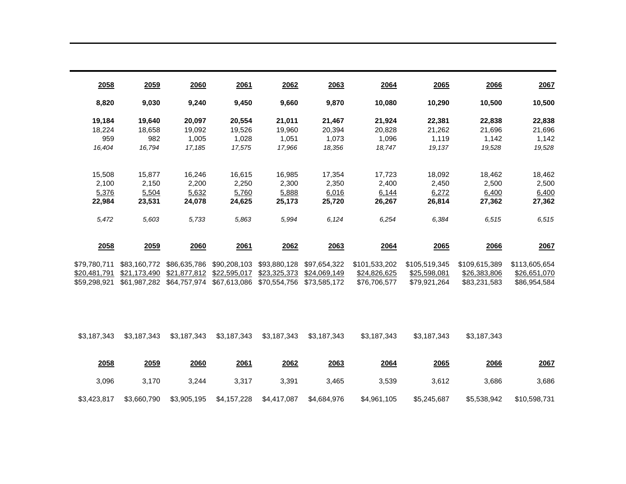| 2058         | 2059         | 2060         | 2061         | 2062         | 2063         | 2064          | 2065          | 2066          | 2067          |
|--------------|--------------|--------------|--------------|--------------|--------------|---------------|---------------|---------------|---------------|
| 8,820        | 9,030        | 9,240        | 9,450        | 9,660        | 9,870        | 10,080        | 10,290        | 10,500        | 10,500        |
| 19,184       | 19,640       | 20,097       | 20,554       | 21,011       | 21,467       | 21,924        | 22,381        | 22,838        | 22,838        |
| 18,224       | 18.658       | 19.092       | 19,526       | 19,960       | 20,394       | 20,828        | 21,262        | 21,696        | 21,696        |
| 959          | 982          | 1,005        | 1,028        | 1,051        | 1,073        | 1,096         | 1,119         | 1,142         | 1,142         |
| 16,404       | 16,794       | 17,185       | 17,575       | 17,966       | 18,356       | 18,747        | 19,137        | 19,528        | 19,528        |
| 15,508       | 15,877       | 16,246       | 16,615       | 16,985       | 17,354       | 17,723        | 18,092        | 18,462        | 18,462        |
| 2,100        | 2,150        | 2,200        | 2,250        | 2,300        | 2,350        | 2,400         | 2,450         | 2,500         | 2,500         |
| 5,376        | 5,504        | 5,632        | 5,760        | 5,888        | 6,016        | 6,144         | 6,272         | 6,400         | 6,400         |
| 22,984       | 23,531       | 24,078       | 24,625       | 25,173       | 25,720       | 26,267        | 26,814        | 27,362        | 27,362        |
| 5,472        | 5,603        | 5,733        | 5,863        | 5,994        | 6.124        | 6,254         | 6,384         | 6,515         | 6,515         |
| 2058         | <u>2059</u>  | 2060         | 2061         | 2062         | 2063         | 2064          | 2065          | 2066          | 2067          |
| \$79,780,711 | \$83,160,772 | \$86,635,786 | \$90,208,103 | \$93,880,128 | \$97,654,322 | \$101,533,202 | \$105,519,345 | \$109,615,389 | \$113,605,654 |
| \$20,481,791 | \$21,173,490 | \$21,877,812 | \$22,595,017 | \$23,325,373 | \$24,069,149 | \$24,826,625  | \$25,598,081  | \$26,383,806  | \$26,651,070  |
| \$59,298,921 | \$61,987,282 | \$64,757,974 | \$67,613,086 | \$70,554,756 | \$73,585,172 | \$76,706,577  | \$79,921,264  | \$83,231,583  | \$86,954,584  |

\$3,187,343 \$3,187,343 \$3,187,343 \$3,187,343 \$3,187,343 \$3,187,343 \$3,187,343 \$3,187,343 \$3,187,343

| 2067         | 2066        | <u>2065</u> | 2064        | 2063        | 2062        | 2061        | 2060        | 2059        | 2058        |
|--------------|-------------|-------------|-------------|-------------|-------------|-------------|-------------|-------------|-------------|
| 3,686        | 3,686       | 3.612       | 3,539       | 3.465       | 3,391       | 3.317       | 3,244       | 3.170       | 3,096       |
| \$10,598,731 | \$5,538,942 | \$5,245,687 | \$4,961,105 | \$4,684,976 | \$4,417,087 | \$4,157,228 | \$3,905,195 | \$3,660,790 | \$3,423,817 |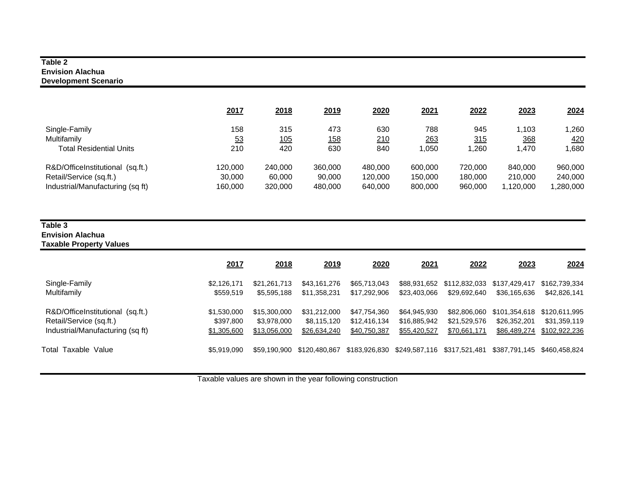#### **Table 2 Envision Alachua Development Scenario**

|                                  | 2017    | 2018    | 2019        | 2020    | 2021    | 2022    | 2023     | 2024       |
|----------------------------------|---------|---------|-------------|---------|---------|---------|----------|------------|
| Single-Family                    | 158     | 315     | 473         | 630     | 788     | 945     | 1.103    | .260       |
| Multifamily                      | 53      | 105     | <u> 158</u> | 210     | 263     | 315     | 368      | <u>420</u> |
| <b>Total Residential Units</b>   | 210     | 420     | 630         | 840     | 0.050   | ,260    | 1.470    | ,680       |
| R&D/OfficeInstitutional (sq.ft.) | 120,000 | 240,000 | 360,000     | 480,000 | 600,000 | 720,000 | 840,000  | 960,000    |
| Retail/Service (sq.ft.)          | 30,000  | 60,000  | 90,000      | 120,000 | 150.000 | 180,000 | 210,000  | 240,000    |
| Industrial/Manufacturing (sq ft) | 160,000 | 320,000 | 480,000     | 640,000 | 800,000 | 960,000 | .120,000 | ,280,000   |

#### **Table 3 Envision Alachua Taxable Property Values**

|                                  | 2017        | 2018         | 2019          | 2020          | 2021         | 2022                        | 2023          | 2024          |
|----------------------------------|-------------|--------------|---------------|---------------|--------------|-----------------------------|---------------|---------------|
| Single-Family                    | \$2,126,171 | \$21.261.713 | \$43,161,276  | \$65,713,043  | \$23,403,066 | \$88,931,652 \$112,832,033  | \$137.429.417 | \$162,739,334 |
| Multifamily                      | \$559,519   | \$5,595,188  | \$11,358,231  | \$17,292,906  |              | \$29.692.640                | \$36,165,636  | \$42,826,141  |
| R&D/OfficeInstitutional (sq.ft.) | \$1,530,000 | \$15,300,000 | \$31,212,000  | \$47,754,360  | \$64,945,930 | \$82,806,060                | \$101,354,618 | \$120,611,995 |
| Retail/Service (sq.ft.)          | \$397,800   | \$3,978,000  | \$8,115,120   | \$12,416,134  | \$16,885,942 | \$21,529,576                | \$26,352,201  | \$31,359,119  |
| Industrial/Manufacturing (sq ft) | \$1,305,600 | \$13,056,000 | \$26,634,240  | \$40,750,387  | \$55,420,527 | \$70,661,171                | \$86,489,274  | \$102,922,236 |
| Total Taxable Value              | \$5.919.090 | \$59.190.900 | \$120.480.867 | \$183.926.830 |              | \$249,587,116 \$317,521,481 | \$387.791.145 | \$460.458.824 |

Taxable values are shown in the year following construction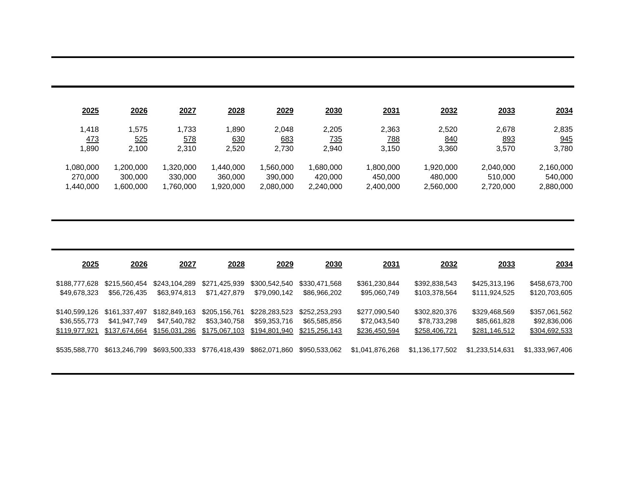| 2025       | 2026     | 2027      | 2028      | 2029      | 2030       | 2031       | 2032      | 2033       | 2034      |
|------------|----------|-----------|-----------|-----------|------------|------------|-----------|------------|-----------|
| 1,418      | .575     | 1,733     | .890      | 2,048     | 2,205      | 2,363      | 2,520     | 2,678      | 2,835     |
| <u>473</u> | 525      | 578       | 630       | 683       | <u>735</u> | <u>788</u> | 840       | <u>893</u> | 945       |
| ,890       | 2,100    | 2,310     | 2,520     | 2,730     | 2,940      | 3,150      | 3,360     | 3,570      | 3,780     |
| 1,080,000  | ,200,000 | .320.000  | 1.440.000 | .560.000  | ,680,000   | 1.800.000  | 1.920.000 | 2,040,000  | 2,160,000 |
| 270,000    | 300,000  | 330,000   | 360,000   | 390,000   | 420,000    | 450.000    | 480.000   | 510,000    | 540.000   |
| 1,440,000  | .600.000 | 1,760,000 | ,920,000  | 2,080,000 | 2,240,000  | 2,400,000  | 2,560,000 | 2,720,000  | 2,880,000 |

| 2025          | 2026          | 2027          | 2028          | 2029          | 2030          | 2031            | 2032            | 2033            | 2034            |
|---------------|---------------|---------------|---------------|---------------|---------------|-----------------|-----------------|-----------------|-----------------|
| \$188,777,628 | \$215,560,454 | \$243.104.289 | \$271,425,939 | \$300,542,540 | \$330,471,568 | \$361,230,844   | \$392,838,543   | \$425,313,196   | \$458,673,700   |
| \$49,678,323  | \$56.726.435  | \$63,974,813  | \$71.427.879  | \$79.090.142  | \$86,966,202  | \$95,060,749    | \$103,378,564   | \$111,924,525   | \$120,703,605   |
| \$140.599.126 | \$161.337.497 | \$182,849,163 | \$205.156.761 | \$228,283,523 | \$252,253,293 | \$277,090,540   | \$302,820,376   | \$329,468,569   | \$357,061,562   |
| \$36,555,773  | \$41.947.749  | \$47.540.782  | \$53,340,758  | \$59,353,716  | \$65,585,856  | \$72,043,540    | \$78,733,298    | \$85,661,828    | \$92,836,006    |
| \$119,977,921 | \$137,674,664 | \$156,031,286 | \$175,067,103 | \$194,801,940 | \$215,256,143 | \$236,450,594   | \$258,406,721   | \$281,146,512   | \$304,692,533   |
| \$535.588.770 | \$613,246,799 | \$693,500,333 | \$776,418,439 | \$862,071,860 | \$950,533,062 | \$1,041,876,268 | \$1,136,177,502 | \$1.233.514.631 | \$1,333,967,406 |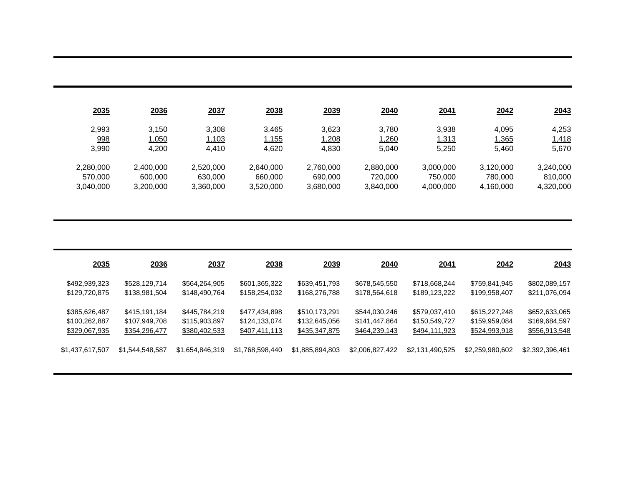| 2035      | 2036      | 2037      | 2038      | 2039      | 2040      | 2041      | 2042      | 2043      |
|-----------|-----------|-----------|-----------|-----------|-----------|-----------|-----------|-----------|
| 2.993     | 3.150     | 3.308     | 3.465     | 3,623     | 3.780     | 3.938     | 4.095     | 4,253     |
| 998       | 1,050     | 1,103     | 1,155     | 1,208     | 1,260     | 1,313     | 1,365     | 1,418     |
| 3.990     | 4,200     | 4.410     | 4,620     | 4,830     | 5.040     | 5.250     | 5.460     | 5,670     |
| 2.280.000 | 2,400,000 | 2,520,000 | 2,640,000 | 2.760.000 | 2,880,000 | 3,000,000 | 3,120,000 | 3,240,000 |
| 570,000   | 600,000   | 630,000   | 660.000   | 690,000   | 720,000   | 750,000   | 780,000   | 810.000   |
| 3,040,000 | 3,200,000 | 3,360,000 | 3,520,000 | 3,680,000 | 3,840,000 | 4,000,000 | 4,160,000 | 4,320,000 |

| 2035            | 2036            | 2037            | 2038            | 2039            | 2040            | 2041            | 2042            | 2043            |
|-----------------|-----------------|-----------------|-----------------|-----------------|-----------------|-----------------|-----------------|-----------------|
| \$492,939,323   | \$528,129,714   | \$564,264,905   | \$601,365,322   | \$639,451,793   | \$678,545,550   | \$718,668,244   | \$759,841,945   | \$802,089,157   |
| \$129,720,875   | \$138,981,504   | \$148,490,764   | \$158,254,032   | \$168,276,788   | \$178,564,618   | \$189,123,222   | \$199,958,407   | \$211,076,094   |
| \$385,626,487   | \$415,191,184   | \$445,784,219   | \$477,434,898   | \$510,173,291   | \$544,030,246   | \$579,037,410   | \$615,227,248   | \$652,633,065   |
| \$100,262,887   | \$107,949,708   | \$115,903,897   | \$124,133,074   | \$132,645,056   | \$141,447,864   | \$150,549,727   | \$159,959,084   | \$169,684,597   |
| \$329,067,935   | \$354,296,477   | \$380,402,533   | \$407,411,113   | \$435,347,875   | \$464,239,143   | \$494,111,923   | \$524,993,918   | \$556,913,548   |
| \$1,437,617,507 | \$1,544,548,587 | \$1,654,846,319 | \$1,768,598,440 | \$1,885,894,803 | \$2,006,827,422 | \$2,131,490,525 | \$2,259,980,602 | \$2,392,396,461 |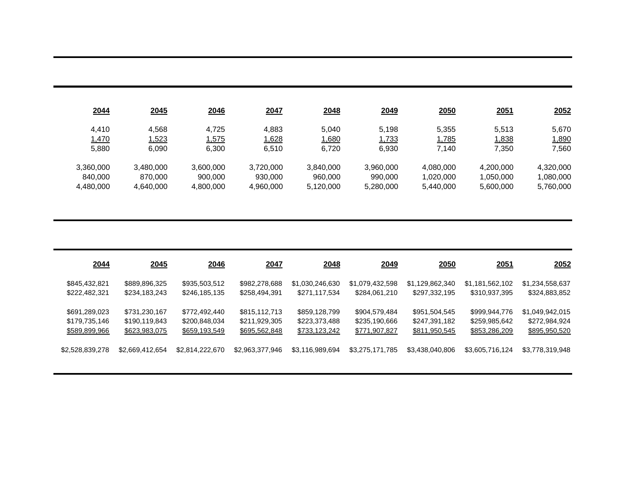| 2045      | 2046      | 2047      | 2048      | 2049      | 2050      | 2051      | 2052      |
|-----------|-----------|-----------|-----------|-----------|-----------|-----------|-----------|
| 4.568     | 4.725     | 4.883     | 5,040     | 5.198     | 5.355     | 5.513     | 5,670     |
| 1,523     | 1,575     | 1,628     | 1,680     | 1,733     | 1,785     | 1,838     | 1,890     |
| 6.090     | 6.300     | 6.510     | 6,720     | 6,930     | 7.140     | 7,350     | 7,560     |
| 3,480,000 | 3,600,000 | 3,720,000 | 3,840,000 | 3,960,000 | 4.080.000 | 4,200,000 | 4,320,000 |
| 870.000   | 900.000   | 930,000   | 960,000   | 990,000   | 1.020.000 | 1,050,000 | 1.080.000 |
| 4,640,000 | 4,800,000 | 4,960,000 | 5,120,000 | 5,280,000 | 5.440.000 | 5,600,000 | 5,760,000 |
|           |           |           |           |           |           |           |           |

| 2044            | 2045            | 2046            | 2047            | 2048            | 2049            | <u>2050</u>     | <u>2051</u>     | 2052            |
|-----------------|-----------------|-----------------|-----------------|-----------------|-----------------|-----------------|-----------------|-----------------|
| \$845,432,821   | \$889,896,325   | \$935,503,512   | \$982,278,688   | \$1,030,246,630 | \$1,079,432,598 | \$1,129,862,340 | \$1,181,562,102 | \$1,234,558,637 |
| \$222,482,321   | \$234,183,243   | \$246,185,135   | \$258,494,391   | \$271,117,534   | \$284,061,210   | \$297,332,195   | \$310,937,395   | \$324,883,852   |
| \$691,289,023   | \$731,230,167   | \$772,492,440   | \$815,112,713   | \$859,128,799   | \$904,579,484   | \$951,504,545   | \$999,944,776   | \$1,049,942,015 |
| \$179,735,146   | \$190,119,843   | \$200,848,034   | \$211,929,305   | \$223,373,488   | \$235,190,666   | \$247,391,182   | \$259,985,642   | \$272,984,924   |
| \$589,899,966   | \$623,983,075   | \$659,193,549   | \$695,562,848   | \$733,123,242   | \$771,907,827   | \$811,950,545   | \$853,286,209   | \$895,950,520   |
| \$2,528,839,278 | \$2,669,412,654 | \$2,814,222,670 | \$2,963,377,946 | \$3,116,989,694 | \$3,275,171,785 | \$3,438,040,806 | \$3,605,716,124 | \$3,778,319,948 |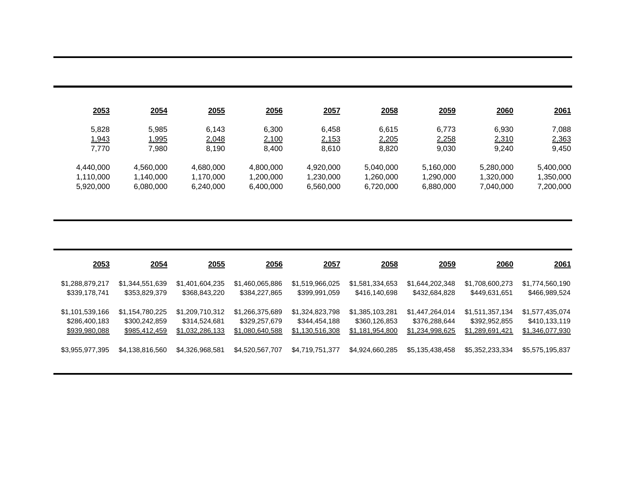| 2053      | 2054      | 2055      | 2056      | 2057      | 2058      | 2059      | 2060      | 2061      |
|-----------|-----------|-----------|-----------|-----------|-----------|-----------|-----------|-----------|
| 5.828     | 5.985     | 6,143     | 6,300     | 6,458     | 6.615     | 6.773     | 6.930     | 7,088     |
| 1,943     | 1,995     | 2,048     | 2,100     | 2,153     | 2,205     | 2,258     | 2,310     | 2,363     |
| 7.770     | 7.980     | 8.190     | 8.400     | 8.610     | 8.820     | 9.030     | 9.240     | 9,450     |
| 4,440,000 | 4,560,000 | 4,680,000 | 4,800,000 | 4.920.000 | 5.040.000 | 5,160,000 | 5,280,000 | 5,400,000 |
| 1,110,000 | 1.140.000 | 1,170,000 | 1,200,000 | 1,230,000 | 1,260,000 | 1,290,000 | 1,320,000 | 1,350,000 |
| 5,920,000 | 6,080,000 | 6,240,000 | 6,400,000 | 6,560,000 | 6,720,000 | 6,880,000 | 7,040,000 | 7,200,000 |

| 2053            | 2054            | 2055            | <b>2056</b>     | 2057            | <u>2058</u>     | 2059            | 2060            | <u>2061</u>     |
|-----------------|-----------------|-----------------|-----------------|-----------------|-----------------|-----------------|-----------------|-----------------|
| \$1,288,879,217 | \$1,344,551,639 | \$1,401,604,235 | \$1,460,065,886 | \$1,519,966,025 | \$1,581,334,653 | \$1,644,202,348 | \$1,708,600,273 | \$1,774,560,190 |
| \$339,178,741   | \$353,829,379   | \$368,843,220   | \$384,227,865   | \$399,991,059   | \$416,140,698   | \$432,684,828   | \$449,631,651   | \$466,989,524   |
| \$1,101,539,166 | \$1,154,780,225 | \$1,209,710,312 | \$1,266,375,689 | \$1,324,823,798 | \$1,385,103,281 | \$1,447,264,014 | \$1,511,357,134 | \$1,577,435,074 |
| \$286,400,183   | \$300,242,859   | \$314,524,681   | \$329,257,679   | \$344,454,188   | \$360,126,853   | \$376,288,644   | \$392,952,855   | \$410,133,119   |
| \$939,980,088   | \$985,412,459   | \$1,032,286,133 | \$1,080,640,588 | \$1,130,516,308 | \$1,181,954,800 | \$1,234,998,625 | \$1,289,691,421 | \$1,346,077,930 |
| \$3,955,977,395 | \$4,138,816,560 | \$4,326,968,581 | \$4,520,567,707 | \$4,719,751,377 | \$4,924,660,285 | \$5,135,438,458 | \$5,352,233,334 | \$5,575,195,837 |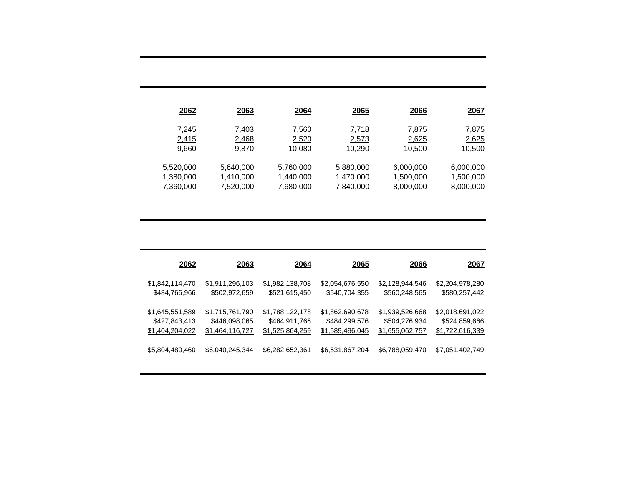| 2062      | <u> 2063</u> | 2064      | <u> 2065</u> | <u>2066</u> | 2067      |
|-----------|--------------|-----------|--------------|-------------|-----------|
| 7,245     | 7.403        | 7,560     | 7.718        | 7,875       | 7,875     |
| 2,415     | 2,468        | 2,520     | 2,573        | 2,625       | 2,625     |
| 9,660     | 9.870        | 10,080    | 10.290       | 10,500      | 10,500    |
| 5,520,000 | 5,640,000    | 5,760,000 | 5,880,000    | 6,000,000   | 6,000,000 |
| 1,380,000 | 1,410,000    | 1,440,000 | 1,470,000    | 1,500,000   | 1,500,000 |
| 7,360,000 | 7,520,000    | 7,680,000 | 7,840,000    | 8,000,000   | 8,000,000 |

| 2062            | 2063            | 2064            | 2065            | 2066            | <u> 2067</u>    |
|-----------------|-----------------|-----------------|-----------------|-----------------|-----------------|
| \$1,842,114,470 | \$1,911,296,103 | \$1,982,138,708 | \$2,054,676,550 | \$2,128,944,546 | \$2,204,978,280 |
| \$484,766,966   | \$502,972,659   | \$521,615,450   | \$540,704,355   | \$560,248,565   | \$580,257,442   |
| \$1,645,551,589 | \$1,715,761,790 | \$1,788,122,178 | \$1,862,690,678 | \$1,939,526,668 | \$2,018,691,022 |
| \$427,843,413   | \$446,098,065   | \$464,911,766   | \$484,299,576   | \$504,276,934   | \$524,859,666   |
| \$1,404,204,022 | \$1,464,116,727 | \$1,525,864,259 | \$1,589,496,045 | \$1,655,062,757 | \$1,722,616,339 |
| \$5,804,480,460 | \$6,040,245,344 | \$6,282,652,361 | \$6,531,867,204 | \$6,788,059,470 |                 |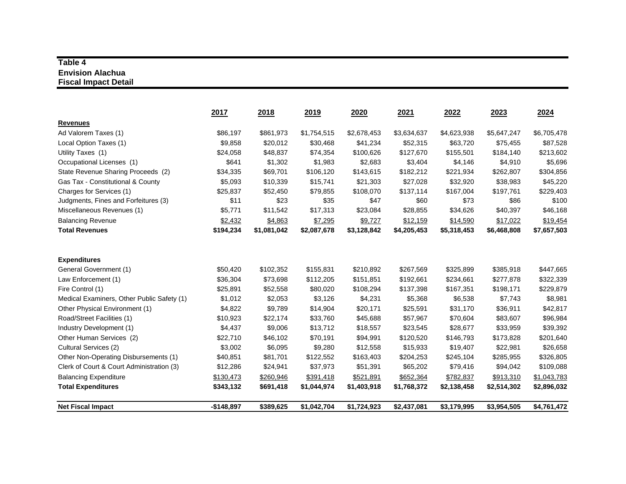# **Table 4Envision Alachua Fiscal Impact Detail**

|                                            | 2017        | 2018        | 2019        | 2020        | 2021        | 2022        | 2023        | 2024        |
|--------------------------------------------|-------------|-------------|-------------|-------------|-------------|-------------|-------------|-------------|
| <b>Revenues</b>                            |             |             |             |             |             |             |             |             |
| Ad Valorem Taxes (1)                       | \$86,197    | \$861,973   | \$1,754,515 | \$2,678,453 | \$3,634,637 | \$4,623,938 | \$5,647,247 | \$6,705,478 |
| Local Option Taxes (1)                     | \$9,858     | \$20,012    | \$30,468    | \$41,234    | \$52,315    | \$63,720    | \$75,455    | \$87,528    |
| Utility Taxes (1)                          | \$24,058    | \$48,837    | \$74,354    | \$100,626   | \$127,670   | \$155,501   | \$184,140   | \$213,602   |
| Occupational Licenses (1)                  | \$641       | \$1,302     | \$1,983     | \$2,683     | \$3,404     | \$4,146     | \$4,910     | \$5,696     |
| State Revenue Sharing Proceeds (2)         | \$34,335    | \$69,701    | \$106,120   | \$143,615   | \$182,212   | \$221,934   | \$262,807   | \$304,856   |
| Gas Tax - Constitutional & County          | \$5,093     | \$10,339    | \$15,741    | \$21,303    | \$27,028    | \$32,920    | \$38,983    | \$45,220    |
| Charges for Services (1)                   | \$25,837    | \$52,450    | \$79,855    | \$108,070   | \$137,114   | \$167,004   | \$197,761   | \$229,403   |
| Judgments, Fines and Forfeitures (3)       | \$11        | \$23        | \$35        | \$47        | \$60        | \$73        | \$86        | \$100       |
| Miscellaneous Revenues (1)                 | \$5,771     | \$11,542    | \$17,313    | \$23,084    | \$28,855    | \$34,626    | \$40,397    | \$46,168    |
| <b>Balancing Revenue</b>                   | \$2,432     | \$4,863     | \$7,295     | \$9,727     | \$12,159    | \$14,590    | \$17,022    | \$19,454    |
| <b>Total Revenues</b>                      | \$194,234   | \$1,081,042 | \$2,087,678 | \$3,128,842 | \$4,205,453 | \$5,318,453 | \$6,468,808 | \$7,657,503 |
| <b>Expenditures</b>                        |             |             |             |             |             |             |             |             |
| General Government (1)                     | \$50,420    | \$102,352   | \$155,831   | \$210,892   | \$267,569   | \$325,899   | \$385,918   | \$447,665   |
| Law Enforcement (1)                        | \$36,304    | \$73,698    | \$112,205   | \$151,851   | \$192,661   | \$234,661   | \$277,878   | \$322,339   |
| Fire Control (1)                           | \$25,891    | \$52,558    | \$80,020    | \$108,294   | \$137,398   | \$167,351   | \$198,171   | \$229,879   |
| Medical Examiners, Other Public Safety (1) | \$1,012     | \$2,053     | \$3,126     | \$4,231     | \$5,368     | \$6,538     | \$7,743     | \$8,981     |
| Other Physical Environment (1)             | \$4,822     | \$9,789     | \$14,904    | \$20,171    | \$25,591    | \$31,170    | \$36,911    | \$42,817    |
| Road/Street Facilities (1)                 | \$10,923    | \$22,174    | \$33,760    | \$45,688    | \$57,967    | \$70,604    | \$83,607    | \$96,984    |
| Industry Development (1)                   | \$4,437     | \$9,006     | \$13,712    | \$18,557    | \$23,545    | \$28,677    | \$33,959    | \$39,392    |
| Other Human Services (2)                   | \$22,710    | \$46,102    | \$70,191    | \$94,991    | \$120,520   | \$146,793   | \$173,828   | \$201,640   |
| Cultural Services (2)                      | \$3,002     | \$6,095     | \$9,280     | \$12,558    | \$15,933    | \$19,407    | \$22,981    | \$26,658    |
| Other Non-Operating Disbursements (1)      | \$40,851    | \$81,701    | \$122,552   | \$163,403   | \$204,253   | \$245,104   | \$285,955   | \$326,805   |
| Clerk of Court & Court Administration (3)  | \$12,286    | \$24,941    | \$37,973    | \$51,391    | \$65,202    | \$79,416    | \$94,042    | \$109,088   |
| <b>Balancing Expenditure</b>               | \$130,473   | \$260,946   | \$391,418   | \$521,891   | \$652,364   | \$782,837   | \$913,310   | \$1,043,783 |
| <b>Total Expenditures</b>                  | \$343,132   | \$691,418   | \$1,044,974 | \$1,403,918 | \$1,768,372 | \$2,138,458 | \$2,514,302 | \$2,896,032 |
| <b>Net Fiscal Impact</b>                   | $-$148,897$ | \$389,625   | \$1,042,704 | \$1,724,923 | \$2,437,081 | \$3,179,995 | \$3,954,505 | \$4,761,472 |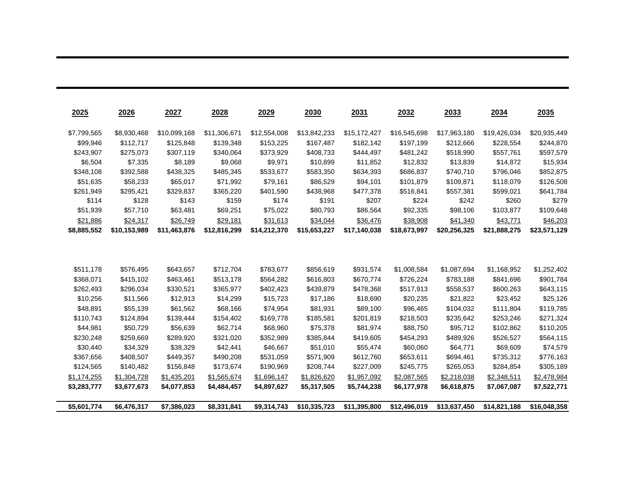| 2025                   | 2026                 | 2027                   | 2028                   | 2029                   | 2030                   | 2031                   | 2032                   | 2033                   | 2034                   | 2035                   |
|------------------------|----------------------|------------------------|------------------------|------------------------|------------------------|------------------------|------------------------|------------------------|------------------------|------------------------|
| \$7,799,565            | \$8,930,468          | \$10,099,168           | \$11,306,671           | \$12,554,008           | \$13,842,233           | \$15,172,427           | \$16,545,698           | \$17,963,180           | \$19,426,034           | \$20,935,449           |
| \$99,946               | \$112,717            | \$125,848              | \$139,348              | \$153,225              | \$167,487              | \$182,142              | \$197,199              | \$212,666              | \$228,554              | \$244,870              |
| \$243,907              | \$275,073            | \$307,119              | \$340,064              | \$373,929              | \$408,733              | \$444,497              | \$481,242              | \$518,990              | \$557,761              | \$597,579              |
| \$6,504                | \$7,335              | \$8,189                | \$9,068                | \$9,971                | \$10,899               | \$11,852               | \$12,832               | \$13,839               | \$14,872               | \$15,934               |
| \$348,108              | \$392,588            | \$438,325              | \$485,345              | \$533,677              | \$583,350              | \$634,393              | \$686,837              | \$740,710              | \$796,046              | \$852,875              |
| \$51,635               | \$58,233             | \$65,017               | \$71,992               | \$79,161               | \$86,529               | \$94,101               | \$101,879              | \$109,871              | \$118,079              | \$126,508              |
| \$261,949              | \$295,421            | \$329,837              | \$365,220              | \$401,590              | \$438,968              | \$477,378              | \$516,841              | \$557,381              | \$599,021              | \$641,784              |
| \$114                  | \$128                | \$143                  | \$159                  | \$174                  | \$191                  | \$207                  | \$224                  | \$242                  | \$260                  | \$279                  |
| \$51,939               | \$57,710             | \$63,481               | \$69,251               | \$75,022               | \$80,793               | \$86,564               | \$92,335               | \$98,106               | \$103,877              | \$109,648              |
| \$21,886               | \$24,317             | \$26,749               | \$29,181               | \$31,613               | \$34,044               | \$36,476               | \$38,908               | \$41,340               | \$43,771               | \$46,203               |
| \$8,885,552            | \$10,153,989         | \$11,463,876           | \$12,816,299           | \$14,212,370           | \$15,653,227           | \$17,140,038           | \$18,673,997           | \$20,256,325           | \$21,888,275           | \$23,571,129           |
|                        |                      |                        |                        |                        |                        |                        |                        |                        |                        |                        |
| \$511,178              | \$576,495            | \$643,657              | \$712,704              | \$783,677              | \$856,619              | \$931,574              | \$1,008,584            | \$1,087,694            | \$1,168,952            | \$1,252,402            |
| \$368,071<br>\$262,493 | \$415,102            | \$463,461<br>\$330,521 | \$513,178<br>\$365,977 | \$564,282<br>\$402,423 | \$616,803<br>\$439,879 | \$670,774<br>\$478,368 | \$726,224<br>\$517,913 | \$783,188<br>\$558,537 | \$841,696<br>\$600,263 | \$901,784<br>\$643,115 |
|                        | \$296,034            |                        |                        |                        |                        |                        |                        |                        |                        |                        |
| \$10,256<br>\$48,891   | \$11,566<br>\$55,139 | \$12,913<br>\$61,562   | \$14,299<br>\$68,166   | \$15,723<br>\$74,954   | \$17,186<br>\$81,931   | \$18,690<br>\$89,100   | \$20,235<br>\$96,465   | \$21,822<br>\$104,032  | \$23,452<br>\$111,804  | \$25,126<br>\$119,785  |
| \$110,743              | \$124,894            | \$139,444              | \$154,402              | \$169,778              | \$185,581              | \$201,819              | \$218,503              | \$235,642              | \$253,246              | \$271,324              |
| \$44,981               | \$50,729             | \$56,639               | \$62,714               | \$68,960               | \$75,378               | \$81,974               | \$88,750               | \$95,712               | \$102,862              | \$110,205              |
| \$230,248              | \$259,669            | \$289,920              | \$321,020              | \$352,989              | \$385,844              | \$419,605              | \$454,293              | \$489,926              | \$526,527              | \$564,115              |
| \$30,440               | \$34,329             | \$38,329               | \$42,441               | \$46,667               | \$51,010               | \$55,474               | \$60,060               | \$64,771               | \$69,609               | \$74,579               |
| \$367,656              | \$408,507            | \$449,357              | \$490,208              | \$531,059              | \$571,909              | \$612,760              | \$653,611              | \$694,461              | \$735,312              | \$776,163              |
| \$124,565              | \$140,482            | \$156,848              | \$173,674              | \$190,969              | \$208,744              | \$227,009              | \$245,775              | \$265,053              | \$284,854              | \$305,189              |
| \$1,174,255            | \$1,304,728          | \$1,435,201            | \$1,565,674            | \$1,696,147            | \$1,826,620            | \$1,957,092            | \$2,087,565            | \$2,218,038            | \$2,348,511            | \$2,478,984            |
| \$3,283,777            | \$3,677,673          | \$4,077,853            | \$4,484,457            | \$4,897,627            | \$5,317,505            | \$5,744,238            | \$6,177,978            | \$6,618,875            | \$7,067,087            | \$7,522,771            |
|                        |                      |                        |                        |                        |                        |                        |                        |                        |                        |                        |
| \$5,601,774            | \$6,476,317          | \$7,386,023            | \$8,331,841            | \$9,314,743            | \$10,335,723           | \$11,395,800           | \$12,496,019           | \$13,637,450           | \$14,821,188           | \$16,048,358           |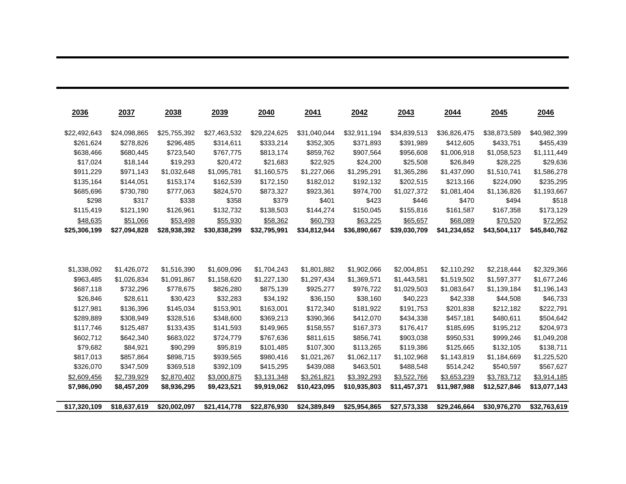| 2036         | 2037         | 2038         | 2039         | 2040         | 2041         | 2042         | 2043         | 2044         | 2045         | 2046         |
|--------------|--------------|--------------|--------------|--------------|--------------|--------------|--------------|--------------|--------------|--------------|
| \$22,492,643 | \$24,098,865 | \$25,755,392 | \$27,463,532 | \$29,224,625 | \$31,040,044 | \$32,911,194 | \$34,839,513 | \$36,826,475 | \$38,873,589 | \$40,982,399 |
| \$261,624    | \$278,826    | \$296,485    | \$314,611    | \$333,214    | \$352,305    | \$371,893    | \$391,989    | \$412,605    | \$433,751    | \$455,439    |
| \$638,466    | \$680,445    | \$723,540    | \$767,775    | \$813,174    | \$859,762    | \$907,564    | \$956,608    | \$1,006,918  | \$1,058,523  | \$1,111,449  |
| \$17,024     | \$18,144     | \$19,293     | \$20,472     | \$21,683     | \$22,925     | \$24,200     | \$25,508     | \$26,849     | \$28,225     | \$29,636     |
| \$911,229    | \$971,143    | \$1,032,648  | \$1,095,781  | \$1,160,575  | \$1,227,066  | \$1,295,291  | \$1,365,286  | \$1,437,090  | \$1,510,741  | \$1,586,278  |
| \$135,164    | \$144,051    | \$153,174    | \$162,539    | \$172,150    | \$182,012    | \$192,132    | \$202,515    | \$213,166    | \$224,090    | \$235,295    |
| \$685,696    | \$730,780    | \$777,063    | \$824,570    | \$873,327    | \$923,361    | \$974,700    | \$1,027,372  | \$1,081,404  | \$1,136,826  | \$1,193,667  |
| \$298        | \$317        | \$338        | \$358        | \$379        | \$401        | \$423        | \$446        | \$470        | \$494        | \$518        |
| \$115,419    | \$121,190    | \$126,961    | \$132,732    | \$138,503    | \$144,274    | \$150,045    | \$155,816    | \$161,587    | \$167,358    | \$173,129    |
| \$48,635     | \$51,066     | \$53,498     | \$55,930     | \$58,362     | \$60,793     | \$63,225     | \$65,657     | \$68,089     | \$70,520     | \$72,952     |
| \$25,306,199 | \$27,094,828 | \$28,938,392 | \$30,838,299 | \$32,795,991 | \$34,812,944 | \$36,890,667 | \$39,030,709 | \$41,234,652 | \$43,504,117 | \$45,840,762 |
|              |              |              |              |              |              |              |              |              |              |              |
|              |              |              |              |              |              |              |              |              |              |              |
|              |              |              |              |              |              |              |              |              |              |              |
| \$1,338,092  | \$1,426,072  | \$1,516,390  | \$1,609,096  | \$1,704,243  | \$1,801,882  | \$1,902,066  | \$2,004,851  | \$2,110,292  | \$2,218,444  | \$2,329,366  |
| \$963,485    | \$1,026,834  | \$1,091,867  | \$1,158,620  | \$1,227,130  | \$1,297,434  | \$1,369,571  | \$1,443,581  | \$1,519,502  | \$1,597,377  | \$1,677,246  |
| \$687,118    | \$732,296    | \$778,675    | \$826,280    | \$875,139    | \$925,277    | \$976,722    | \$1,029,503  | \$1,083,647  | \$1,139,184  | \$1,196,143  |
| \$26,846     | \$28,611     | \$30,423     | \$32,283     | \$34,192     | \$36,150     | \$38,160     | \$40,223     | \$42,338     | \$44,508     | \$46,733     |
| \$127,981    | \$136,396    | \$145,034    | \$153,901    | \$163,001    | \$172,340    | \$181,922    | \$191,753    | \$201,838    | \$212,182    | \$222,791    |
| \$289,889    | \$308,949    | \$328,516    | \$348,600    | \$369,213    | \$390,366    | \$412,070    | \$434,338    | \$457,181    | \$480,611    | \$504,642    |
| \$117,746    | \$125,487    | \$133,435    | \$141,593    | \$149,965    | \$158,557    | \$167,373    | \$176,417    | \$185,695    | \$195,212    | \$204,973    |
| \$602,712    | \$642,340    | \$683,022    | \$724,779    | \$767,636    | \$811,615    | \$856,741    | \$903,038    | \$950,531    | \$999,246    | \$1,049,208  |
| \$79,682     | \$84,921     | \$90,299     | \$95,819     | \$101,485    | \$107,300    | \$113,265    | \$119,386    | \$125,665    | \$132,105    | \$138,711    |
| \$817,013    | \$857,864    | \$898,715    | \$939,565    | \$980,416    | \$1,021,267  | \$1,062,117  | \$1,102,968  | \$1,143,819  | \$1,184,669  | \$1,225,520  |
| \$326,070    | \$347,509    | \$369,518    | \$392,109    | \$415,295    | \$439,088    | \$463,501    | \$488,548    | \$514,242    | \$540,597    | \$567,627    |
| \$2,609,456  | \$2.739.929  | \$2.870.402  | \$3.000.875  | \$3,131,348  | \$3,261,821  | \$3.392.293  | \$3.522.766  | \$3.653.239  | \$3.783.712  | \$3,914,185  |

\$17,320,109 \$18,637,619 \$20,002,097 \$21,414,778 \$22,876,930 \$24,389,849 \$25,954,865 \$27,573,338 \$29,246,664 \$30,976,270 \$32,763,619

\$7,986,090 \$8,457,209 \$8,936,295 \$9,423,521 \$9,919,062 \$10,423,095 \$10,935,803 \$11,457,371 \$11,987,988 \$12,527,846 \$13,077,143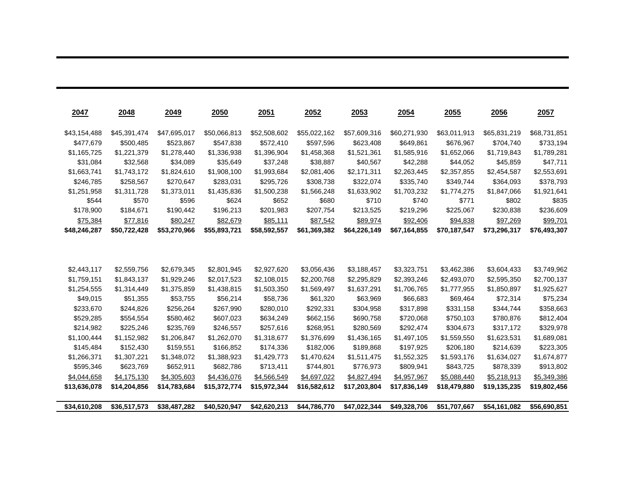| 2047         | 2048         | 2049         | 2050         | <u>2051</u>  | 2052         | 2053         | 2054         | <u>2055</u>  | 2056         | 2057         |
|--------------|--------------|--------------|--------------|--------------|--------------|--------------|--------------|--------------|--------------|--------------|
| \$43,154,488 | \$45,391,474 | \$47,695,017 | \$50,066,813 | \$52,508,602 | \$55,022,162 | \$57,609,316 | \$60,271,930 | \$63,011,913 | \$65,831,219 | \$68,731,851 |
| \$477,679    | \$500,485    | \$523,867    | \$547,838    | \$572,410    | \$597,596    | \$623,408    | \$649,861    | \$676,967    | \$704,740    | \$733,194    |
| \$1,165,725  | \$1,221,379  | \$1,278,440  | \$1,336,938  | \$1,396,904  | \$1,458,368  | \$1,521,361  | \$1,585,916  | \$1,652,066  | \$1,719,843  | \$1,789,281  |
| \$31,084     | \$32,568     | \$34,089     | \$35,649     | \$37,248     | \$38,887     | \$40,567     | \$42,288     | \$44,052     | \$45,859     | \$47,711     |
| \$1,663,741  | \$1,743,172  | \$1,824,610  | \$1,908,100  | \$1,993,684  | \$2,081,406  | \$2,171,311  | \$2,263,445  | \$2,357,855  | \$2,454,587  | \$2,553,691  |
| \$246,785    | \$258,567    | \$270,647    | \$283,031    | \$295,726    | \$308,738    | \$322,074    | \$335,740    | \$349,744    | \$364,093    | \$378,793    |
| \$1,251,958  | \$1,311,728  | \$1,373,011  | \$1,435,836  | \$1,500,238  | \$1,566,248  | \$1,633,902  | \$1,703,232  | \$1,774,275  | \$1,847,066  | \$1,921,641  |
| \$544        | \$570        | \$596        | \$624        | \$652        | \$680        | \$710        | \$740        | \$771        | \$802        | \$835        |
| \$178,900    | \$184,671    | \$190,442    | \$196,213    | \$201,983    | \$207,754    | \$213,525    | \$219,296    | \$225,067    | \$230,838    | \$236,609    |
| \$75,384     | \$77,816     | \$80,247     | \$82,679     | \$85,111     | \$87,542     | \$89,974     | \$92,406     | \$94,838     | \$97,269     | \$99,701     |
| \$48,246,287 | \$50,722,428 | \$53,270,966 | \$55,893,721 | \$58,592,557 | \$61,369,382 | \$64,226,149 | \$67,164,855 | \$70,187,547 | \$73,296,317 | \$76,493,307 |
|              |              |              |              |              |              |              |              |              |              |              |
| \$2,443,117  | \$2,559,756  | \$2,679,345  | \$2,801,945  | \$2,927,620  | \$3,056,436  | \$3,188,457  | \$3,323,751  | \$3,462,386  | \$3,604,433  | \$3,749,962  |
| \$1,759,151  | \$1,843,137  | \$1,929,246  | \$2,017,523  | \$2,108,015  | \$2,200,768  | \$2,295,829  | \$2,393,246  | \$2,493,070  | \$2,595,350  | \$2,700,137  |
| \$1,254,555  | \$1,314,449  | \$1,375,859  | \$1,438,815  | \$1,503,350  | \$1,569,497  | \$1,637,291  | \$1,706,765  | \$1,777,955  | \$1,850,897  | \$1,925,627  |
| \$49,015     | \$51,355     | \$53,755     | \$56,214     | \$58,736     | \$61,320     | \$63,969     | \$66,683     | \$69,464     | \$72,314     | \$75,234     |
| \$233,670    | \$244,826    | \$256,264    | \$267,990    | \$280,010    | \$292,331    | \$304,958    | \$317,898    | \$331,158    | \$344,744    | \$358,663    |
| \$529,285    | \$554,554    | \$580,462    | \$607,023    | \$634,249    | \$662,156    | \$690,758    | \$720,068    | \$750,103    | \$780,876    | \$812,404    |
| \$214,982    | \$225,246    | \$235,769    | \$246,557    | \$257,616    | \$268,951    | \$280,569    | \$292,474    | \$304,673    | \$317,172    | \$329,978    |
| \$1,100,444  | \$1,152,982  | \$1,206,847  | \$1,262,070  | \$1,318,677  | \$1,376,699  | \$1,436,165  | \$1,497,105  | \$1,559,550  | \$1,623,531  | \$1,689,081  |
| \$145,484    | \$152,430    | \$159,551    | \$166,852    | \$174,336    | \$182,006    | \$189,868    | \$197,925    | \$206,180    | \$214,639    | \$223,305    |
| \$1,266,371  | \$1,307,221  | \$1,348,072  | \$1,388,923  | \$1,429,773  | \$1,470,624  | \$1,511,475  | \$1,552,325  | \$1,593,176  | \$1,634,027  | \$1,674,877  |
| \$595,346    | \$623,769    | \$652,911    | \$682,786    | \$713,411    | \$744,801    | \$776,973    | \$809,941    | \$843,725    | \$878,339    | \$913,802    |
| \$4,044,658  | \$4,175,130  | \$4,305,603  | \$4,436,076  | \$4,566,549  | \$4,697,022  | \$4,827,494  | \$4,957,967  | \$5,088,440  | \$5,218,913  | \$5,349,386  |
| \$13,636,078 | \$14,204,856 | \$14,783,684 | \$15,372,774 | \$15,972,344 | \$16,582,612 | \$17,203,804 | \$17,836,149 | \$18,479,880 | \$19,135,235 | \$19,802,456 |
| \$34,610,208 | \$36,517,573 | \$38,487,282 | \$40,520,947 | \$42,620,213 | \$44,786,770 | \$47,022,344 | \$49,328,706 | \$51,707,667 | \$54,161,082 | \$56,690,851 |

,我们也不会有什么。""我们的人,我们也不会有什么?""我们的人,我们也不会有什么?""我们的人,我们也不会有什么?""我们的人,我们也不会有什么?""我们的人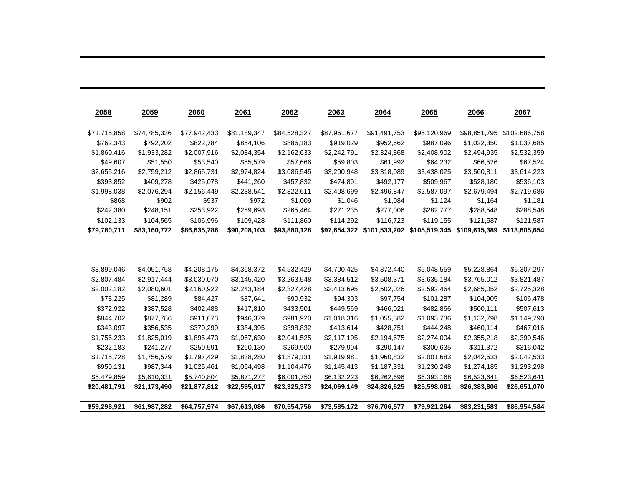| 2058         | 2059         | 2060         | 2061         | 2062         | 2063         | 2064          | 2065          | 2066          | 2067          |
|--------------|--------------|--------------|--------------|--------------|--------------|---------------|---------------|---------------|---------------|
| \$71,715,858 | \$74,785,336 | \$77,942,433 | \$81,189,347 | \$84,528,327 | \$87,961,677 | \$91,491,753  | \$95,120,969  | \$98,851,795  | \$102,686,758 |
| \$762,343    | \$792,202    | \$822,784    | \$854,106    | \$886,183    | \$919,029    | \$952,662     | \$987,096     | \$1,022,350   | \$1,037,685   |
| \$1,860,416  | \$1,933,282  | \$2,007,916  | \$2,084,354  | \$2,162,633  | \$2,242,791  | \$2,324,868   | \$2,408,902   | \$2,494,935   | \$2,532,359   |
| \$49,607     | \$51,550     | \$53,540     | \$55,579     | \$57,666     | \$59,803     | \$61,992      | \$64,232      | \$66,526      | \$67,524      |
| \$2,655,216  | \$2,759,212  | \$2,865,731  | \$2,974,824  | \$3,086,545  | \$3,200,948  | \$3,318,089   | \$3,438,025   | \$3,560,811   | \$3,614,223   |
| \$393,852    | \$409,278    | \$425,078    | \$441,260    | \$457,832    | \$474,801    | \$492,177     | \$509,967     | \$528,180     | \$536,103     |
| \$1.998.038  | \$2,076,294  | \$2,156,449  | \$2,238,541  | \$2,322,611  | \$2,408,699  | \$2,496,847   | \$2,587,097   | \$2,679,494   | \$2,719,686   |
| \$868        | \$902        | \$937        | \$972        | \$1,009      | \$1,046      | \$1,084       | \$1,124       | \$1,164       | \$1,181       |
| \$242,380    | \$248,151    | \$253,922    | \$259,693    | \$265,464    | \$271,235    | \$277,006     | \$282,777     | \$288,548     | \$288,548     |
| \$102,133    | \$104,565    | \$106,996    | \$109,428    | \$111,860    | \$114,292    | \$116,723     | \$119,155     | \$121,587     | \$121,587     |
| \$79,780,711 | \$83,160,772 | \$86,635,786 | \$90,208,103 | \$93,880,128 | \$97,654,322 | \$101,533,202 | \$105,519,345 | \$109,615,389 | \$113,605,654 |
|              |              |              |              |              |              |               |               |               |               |
| \$3,899,046  | \$4,051,758  | \$4,208,175  | \$4,368,372  | \$4,532,429  | \$4,700,425  | \$4,872,440   | \$5,048,559   | \$5,228,864   | \$5,307,297   |
| \$2,807,484  | \$2,917,444  | \$3,030,070  | \$3,145,420  | \$3,263,548  | \$3,384,512  | \$3,508,371   | \$3,635,184   | \$3,765,012   | \$3,821,487   |
| \$2,002,182  | \$2,080,601  | \$2,160,922  | \$2,243,184  | \$2,327,428  | \$2,413,695  | \$2,502,026   | \$2,592,464   | \$2,685,052   | \$2,725,328   |
| \$78,225     | \$81,289     | \$84,427     | \$87,641     | \$90,932     | \$94,303     | \$97,754      | \$101,287     | \$104,905     | \$106,478     |
| \$372,922    | \$387,528    | \$402,488    | \$417,810    | \$433,501    | \$449,569    | \$466,021     | \$482,866     | \$500,111     | \$507,613     |
| \$844,702    | \$877,786    | \$911,673    | \$946,379    | \$981,920    | \$1,018,316  | \$1,055,582   | \$1,093,736   | \$1,132,798   | \$1,149,790   |
| \$343,097    | \$356,535    | \$370,299    | \$384,395    | \$398,832    | \$413,614    | \$428,751     | \$444,248     | \$460,114     | \$467,016     |
| \$1,756,233  | \$1,825,019  | \$1,895,473  | \$1,967,630  | \$2,041,525  | \$2,117,195  | \$2,194,675   | \$2,274,004   | \$2,355,218   | \$2,390,546   |
| \$232,183    | \$241,277    | \$250,591    | \$260,130    | \$269,900    | \$279,904    | \$290,147     | \$300,635     | \$311,372     | \$316,042     |
| \$1,715,728  | \$1,756,579  | \$1,797,429  | \$1,838,280  | \$1,879,131  | \$1,919,981  | \$1,960,832   | \$2,001,683   | \$2,042,533   | \$2,042,533   |
| \$950,131    | \$987,344    | \$1,025,461  | \$1,064,498  | \$1,104,476  | \$1,145,413  | \$1,187,331   | \$1,230,248   | \$1,274,185   | \$1,293,298   |
| \$5,479,859  | \$5,610,331  | \$5,740,804  | \$5,871,277  | \$6,001,750  | \$6,132,223  | \$6,262,696   | \$6,393,168   | \$6,523,641   | \$6,523,641   |
| \$20,481,791 | \$21,173,490 | \$21,877,812 | \$22,595,017 | \$23,325,373 | \$24,069,149 | \$24,826,625  | \$25,598,081  | \$26,383,806  | \$26,651,070  |
|              |              |              |              |              |              |               |               |               |               |
| \$59,298,921 | \$61,987,282 | \$64,757,974 | \$67,613,086 | \$70,554,756 | \$73,585,172 | \$76,706,577  | \$79,921,264  | \$83,231,583  | \$86,954,584  |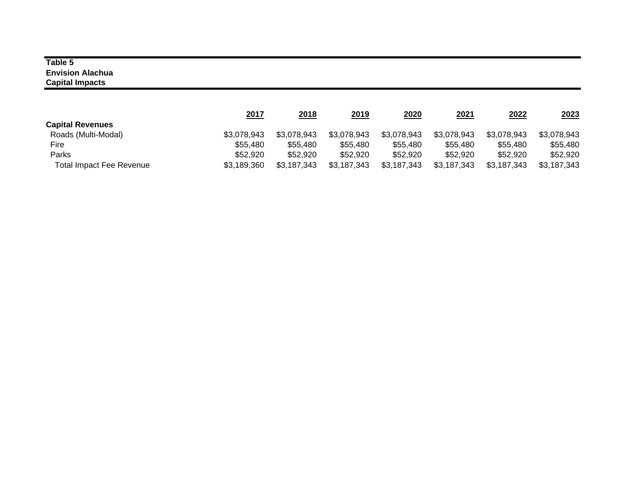#### **Table 5 Envision Alachua Capital Impacts**

|                                 | <u> 2017</u> | 2018        | 2019        | 2020        | 2021        | 2022        | 2023        |
|---------------------------------|--------------|-------------|-------------|-------------|-------------|-------------|-------------|
| <b>Capital Revenues</b>         |              |             |             |             |             |             |             |
| Roads (Multi-Modal)             | \$3,078,943  | \$3,078,943 | \$3,078,943 | \$3,078,943 | \$3,078,943 | \$3,078,943 | \$3,078,943 |
| Fire                            | \$55,480     | \$55,480    | \$55,480    | \$55,480    | \$55,480    | \$55,480    | \$55,480    |
| Parks                           | \$52,920     | \$52,920    | \$52,920    | \$52,920    | \$52,920    | \$52,920    | \$52.920    |
| <b>Total Impact Fee Revenue</b> | \$3,189,360  | \$3,187,343 | \$3,187,343 | \$3,187,343 | \$3,187,343 | \$3,187,343 | \$3,187,343 |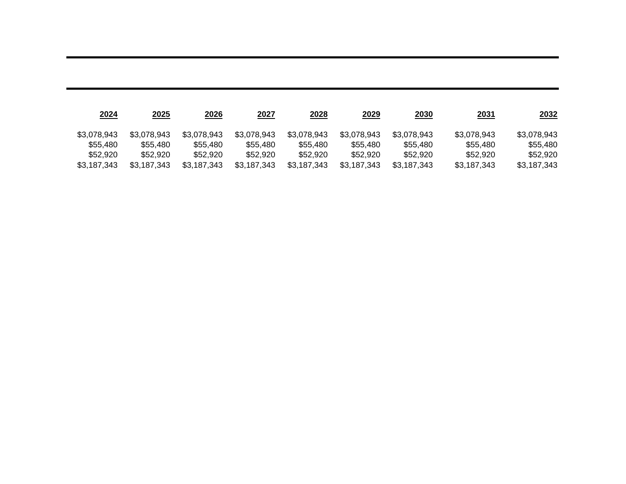| 2024        | 2025        | 2026        | 2027        | <u> 2028</u> | <u> 2029</u> | 2030        | <u>2031</u> | 2032        |
|-------------|-------------|-------------|-------------|--------------|--------------|-------------|-------------|-------------|
| \$3.078.943 | \$3.078.943 | \$3,078,943 | \$3,078,943 | \$3,078,943  | \$3,078,943  | \$3.078.943 | \$3,078,943 | \$3,078,943 |
| \$55,480    | \$55,480    | \$55,480    | \$55,480    | \$55,480     | \$55,480     | \$55,480    | \$55.480    | \$55,480    |
| \$52,920    | \$52,920    | \$52,920    | \$52.920    | \$52,920     | \$52,920     | \$52,920    | \$52.920    | \$52.920    |
| \$3.187.343 | \$3.187.343 | \$3,187,343 | \$3,187,343 | \$3,187,343  | \$3.187.343  | \$3.187.343 | \$3,187,343 | \$3.187.343 |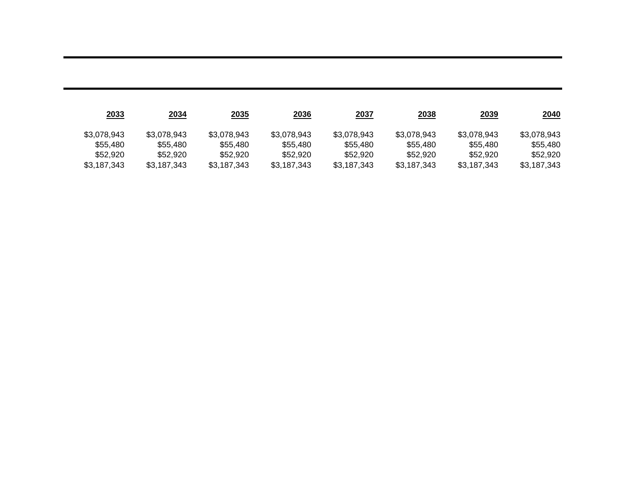| 2033        | 2034        | 2035        | <u> 2036</u> | 2037        | 2038        | 2039        | <u> 2040</u> |
|-------------|-------------|-------------|--------------|-------------|-------------|-------------|--------------|
| \$3,078,943 | \$3,078,943 | \$3,078,943 | \$3.078.943  | \$3,078,943 | \$3,078,943 | \$3,078,943 | \$3,078,943  |
| \$55,480    | \$55,480    | \$55,480    | \$55.480     | \$55,480    | \$55,480    | \$55.480    | \$55.480     |
| \$52,920    | \$52,920    | \$52.920    | \$52.920     | \$52,920    | \$52.920    | \$52,920    | \$52.920     |
| \$3.187.343 | \$3.187.343 | \$3.187.343 | \$3.187.343  | \$3,187,343 | \$3.187.343 | \$3.187.343 | \$3.187.343  |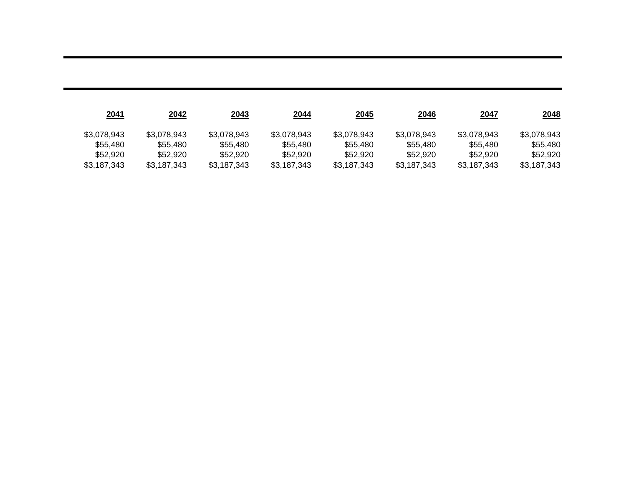| <u>2041</u> | 2042        | 2043        | <u>2044</u> | <u>2045</u> | 2046        | 2047        | <u> 2048</u> |
|-------------|-------------|-------------|-------------|-------------|-------------|-------------|--------------|
| \$3,078,943 | \$3,078,943 | \$3,078,943 | \$3.078.943 | \$3,078,943 | \$3,078,943 | \$3,078,943 | \$3,078,943  |
| \$55,480    | \$55,480    | \$55,480    | \$55.480    | \$55,480    | \$55,480    | \$55.480    | \$55.480     |
| \$52,920    | \$52,920    | \$52.920    | \$52.920    | \$52,920    | \$52.920    | \$52,920    | \$52.920     |
| \$3.187.343 | \$3.187.343 | \$3.187.343 | \$3.187.343 | \$3,187,343 | \$3.187.343 | \$3.187.343 | \$3.187.343  |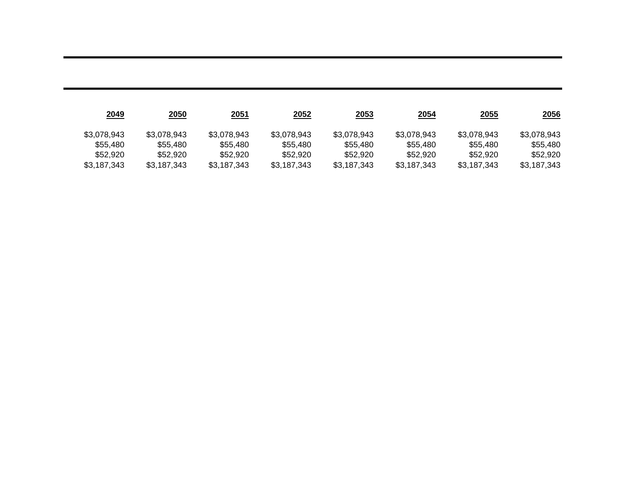| 2049        | <u>2050</u> | <u> 2051</u> | <u> 2052 </u> | <u>2053</u> | <u>2054</u> | <u>2055</u> | <u>2056</u> |
|-------------|-------------|--------------|---------------|-------------|-------------|-------------|-------------|
| \$3,078,943 | \$3,078,943 | \$3,078,943  | \$3.078.943   | \$3,078,943 | \$3.078.943 | \$3,078,943 | \$3.078.943 |
| \$55,480    | \$55,480    | \$55,480     | \$55.480      | \$55,480    | \$55,480    | \$55.480    | \$55.480    |
| \$52,920    | \$52,920    | \$52.920     | \$52.920      | \$52,920    | \$52,920    | \$52,920    | \$52.920    |
| \$3.187.343 | \$3.187.343 | \$3.187.343  | \$3.187.343   | \$3,187,343 | \$3.187.343 | \$3.187.343 | \$3.187.343 |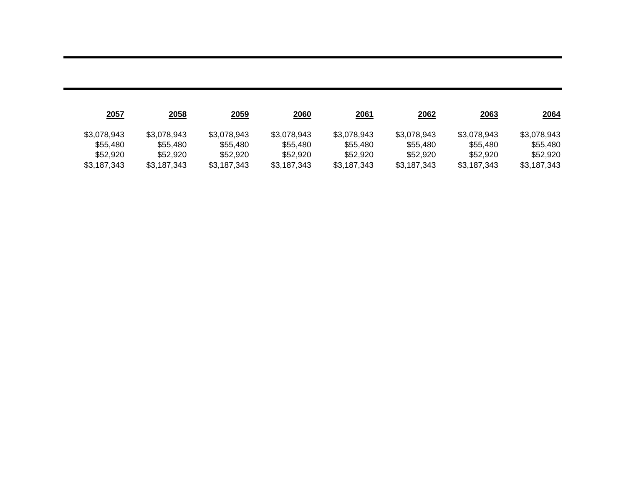| 2057        | <u>2058</u> | <u>2059</u> | <u> 2060</u> | 2061        | 2062        | <u>2063</u> | <u>2064</u> |
|-------------|-------------|-------------|--------------|-------------|-------------|-------------|-------------|
| \$3,078,943 | \$3,078,943 | \$3.078.943 | \$3,078,943  | \$3.078.943 | \$3.078.943 | \$3,078,943 | \$3.078.943 |
| \$55,480    | \$55,480    | \$55,480    | \$55,480     | \$55.480    | \$55,480    | \$55,480    | \$55.480    |
| \$52,920    | \$52,920    | \$52,920    | \$52,920     | \$52,920    | \$52,920    | \$52,920    | \$52.920    |
| \$3,187,343 | \$3.187.343 | \$3.187.343 | \$3.187.343  | \$3,187,343 | \$3,187,343 | \$3.187.343 | \$3.187.343 |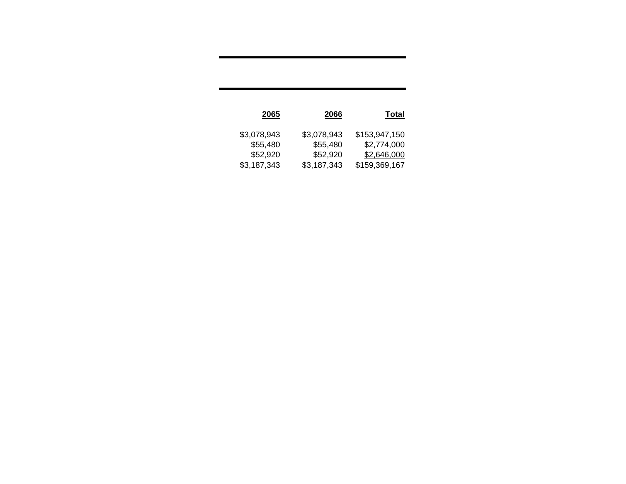| <b>Total</b>  | 2066        | 2065        |
|---------------|-------------|-------------|
| \$153,947,150 | \$3,078,943 | \$3,078,943 |
| \$2,774,000   | \$55,480    | \$55,480    |
| \$2,646,000   | \$52,920    | \$52,920    |
| \$159,369,167 | \$3,187,343 | \$3,187,343 |
|               |             |             |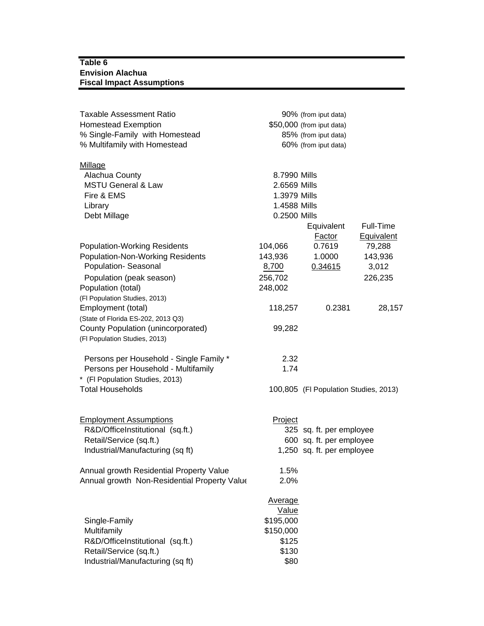#### **Table 6 Envision Alachua Fiscal Impact Assumptions**

| Taxable Assessment Ratio                     |                | 90% (from iput data)                  |            |
|----------------------------------------------|----------------|---------------------------------------|------------|
| <b>Homestead Exemption</b>                   |                | \$50,000 (from iput data)             |            |
| % Single-Family with Homestead               |                | 85% (from iput data)                  |            |
| % Multifamily with Homestead                 |                | 60% (from iput data)                  |            |
| Millage                                      |                |                                       |            |
| Alachua County                               | 8.7990 Mills   |                                       |            |
| <b>MSTU General &amp; Law</b>                | 2.6569 Mills   |                                       |            |
| Fire & EMS                                   | 1.3979 Mills   |                                       |            |
| Library                                      | 1.4588 Mills   |                                       |            |
| Debt Millage                                 | 0.2500 Mills   |                                       |            |
|                                              |                | Equivalent                            | Full-Time  |
|                                              |                | <b>Factor</b>                         | Equivalent |
| <b>Population-Working Residents</b>          | 104,066        | 0.7619                                | 79,288     |
| <b>Population-Non-Working Residents</b>      | 143,936        | 1.0000                                | 143,936    |
| Population- Seasonal                         | 8,700          | 0.34615                               | 3,012      |
| Population (peak season)                     | 256,702        |                                       | 226,235    |
| Population (total)                           | 248,002        |                                       |            |
| (FI Population Studies, 2013)                |                |                                       |            |
| Employment (total)                           | 118,257        | 0.2381                                | 28,157     |
| (State of Florida ES-202, 2013 Q3)           |                |                                       |            |
| County Population (unincorporated)           | 99,282         |                                       |            |
| (FI Population Studies, 2013)                |                |                                       |            |
| Persons per Household - Single Family *      | 2.32           |                                       |            |
| Persons per Household - Multifamily          | 1.74           |                                       |            |
| * (FI Population Studies, 2013)              |                |                                       |            |
| <b>Total Households</b>                      |                | 100,805 (FI Population Studies, 2013) |            |
|                                              |                |                                       |            |
| <b>Employment Assumptions</b>                | Project        |                                       |            |
| R&D/OfficeInstitutional (sq.ft.)             |                | 325 sq. ft. per employee              |            |
| Retail/Service (sq.ft.)                      |                | 600 sq. ft. per employee              |            |
| Industrial/Manufacturing (sq ft)             |                | 1,250 sq. ft. per employee            |            |
| Annual growth Residential Property Value     | 1.5%           |                                       |            |
| Annual growth Non-Residential Property Value | 2.0%           |                                       |            |
|                                              | <b>Average</b> |                                       |            |
|                                              | Value          |                                       |            |
| Single-Family                                | \$195,000      |                                       |            |
| Multifamily                                  | \$150,000      |                                       |            |
| R&D/OfficeInstitutional (sq.ft.)             | \$125          |                                       |            |
| Retail/Service (sq.ft.)                      | \$130          |                                       |            |
| Industrial/Manufacturing (sq ft)             | \$80           |                                       |            |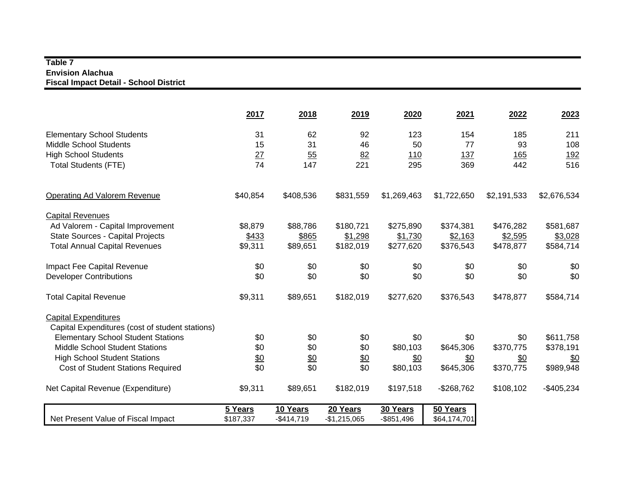#### **Table 7 Envision Alachua Fiscal Impact Detail - School District**

|                                                 | 2017              | 2018        | 2019          | 2020          | 2021         | 2022        | 2023        |
|-------------------------------------------------|-------------------|-------------|---------------|---------------|--------------|-------------|-------------|
| <b>Elementary School Students</b>               | 31                | 62          | 92            | 123           | 154          | 185         | 211         |
| <b>Middle School Students</b>                   | 15                | 31          | 46            | 50            | 77           | 93          | 108         |
| <b>High School Students</b>                     | 27                | 55          | 82            | 110           | 137          | 165         | <u>192</u>  |
| <b>Total Students (FTE)</b>                     | 74                | 147         | 221           | 295           | 369          | 442         | 516         |
| <b>Operating Ad Valorem Revenue</b>             | \$40,854          | \$408,536   | \$831,559     | \$1,269,463   | \$1,722,650  | \$2,191,533 | \$2,676,534 |
| <b>Capital Revenues</b>                         |                   |             |               |               |              |             |             |
| Ad Valorem - Capital Improvement                | \$8,879           | \$88,786    | \$180,721     | \$275,890     | \$374,381    | \$476,282   | \$581,687   |
| <b>State Sources - Capital Projects</b>         | \$433             | \$865       | \$1,298       | \$1,730       | \$2,163      | \$2,595     | \$3,028     |
| <b>Total Annual Capital Revenues</b>            | \$9,311           | \$89,651    | \$182,019     | \$277,620     | \$376,543    | \$478,877   | \$584,714   |
| Impact Fee Capital Revenue                      | \$0               | \$0         | \$0           | \$0           | \$0          | \$0         | \$0         |
| <b>Developer Contributions</b>                  | \$0               | \$0         | \$0           | \$0           | \$0          | \$0         | \$0         |
| <b>Total Capital Revenue</b>                    | \$9,311           | \$89,651    | \$182,019     | \$277,620     | \$376,543    | \$478,877   | \$584,714   |
| <b>Capital Expenditures</b>                     |                   |             |               |               |              |             |             |
| Capital Expenditures (cost of student stations) |                   |             |               |               |              |             |             |
| <b>Elementary School Student Stations</b>       | \$0               | \$0         | \$0           | \$0           | \$0          | \$0         | \$611,758   |
| <b>Middle School Student Stations</b>           | \$0               | \$0         | \$0           | \$80,103      | \$645,306    | \$370,775   | \$378,191   |
| <b>High School Student Stations</b>             | $\underline{\$0}$ | \$0         | \$0           | \$0           | \$0          | \$0         | \$0         |
| <b>Cost of Student Stations Required</b>        | \$0               | \$0         | \$0           | \$80,103      | \$645,306    | \$370,775   | \$989,948   |
| Net Capital Revenue (Expenditure)               | \$9,311           | \$89,651    | \$182,019     | \$197,518     | $-$268,762$  | \$108,102   | $-$405,234$ |
|                                                 | 5 Years           | 10 Years    | 20 Years      | 30 Years      | 50 Years     |             |             |
| Net Present Value of Fiscal Impact              | \$187,337         | $-$414,719$ | $-$1,215,065$ | $-$ \$851,496 | \$64,174,701 |             |             |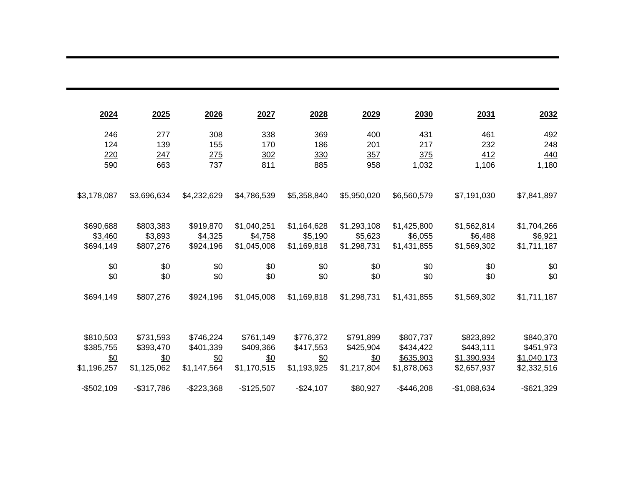| 2024        | 2025        | 2026        | 2027        | 2028        | 2029        | 2030        | 2031          | 2032          |
|-------------|-------------|-------------|-------------|-------------|-------------|-------------|---------------|---------------|
| 246         | 277         | 308         | 338         | 369         | 400         | 431         | 461           | 492           |
| 124         | 139         | 155         | 170         | 186         | 201         | 217         | 232           | 248           |
| 220         | 247         | 275         | 302         | 330         | 357         | 375         | 412           | 440           |
| 590         | 663         | 737         | 811         | 885         | 958         | 1,032       | 1,106         | 1,180         |
| \$3,178,087 | \$3,696,634 | \$4,232,629 | \$4,786,539 | \$5,358,840 | \$5,950,020 | \$6,560,579 | \$7,191,030   | \$7,841,897   |
| \$690,688   | \$803,383   | \$919,870   | \$1,040,251 | \$1,164,628 | \$1,293,108 | \$1,425,800 | \$1,562,814   | \$1,704,266   |
| \$3,460     | \$3,893     | \$4,325     | \$4,758     | \$5,190     | \$5,623     | \$6,055     | \$6,488       | \$6,921       |
| \$694,149   | \$807,276   | \$924,196   | \$1,045,008 | \$1,169,818 | \$1,298,731 | \$1,431,855 | \$1,569,302   | \$1,711,187   |
| \$0         | \$0         | \$0         | \$0         | \$0         | \$0         | \$0         | \$0           | \$0           |
| \$0         | \$0         | \$0         | \$0         | \$0         | \$0         | \$0         | \$0           | \$0           |
| \$694,149   | \$807,276   | \$924,196   | \$1,045,008 | \$1,169,818 | \$1,298,731 | \$1,431,855 | \$1,569,302   | \$1,711,187   |
|             |             |             |             |             |             |             |               |               |
| \$810,503   | \$731,593   | \$746,224   | \$761,149   | \$776,372   | \$791,899   | \$807,737   | \$823,892     | \$840,370     |
| \$385,755   | \$393,470   | \$401,339   | \$409,366   | \$417,553   | \$425,904   | \$434,422   | \$443,111     | \$451,973     |
| \$0         | \$0         | \$0         | \$0         | \$0         | \$0         | \$635,903   | \$1,390,934   | \$1,040,173   |
| \$1,196,257 | \$1,125,062 | \$1,147,564 | \$1,170,515 | \$1,193,925 | \$1,217,804 | \$1,878,063 | \$2,657,937   | \$2,332,516   |
| $-$502,109$ | $-$317,786$ | $-$223,368$ | $-$125,507$ | $-$24,107$  | \$80,927    | $-$446,208$ | $-$1,088,634$ | $-$ \$621,329 |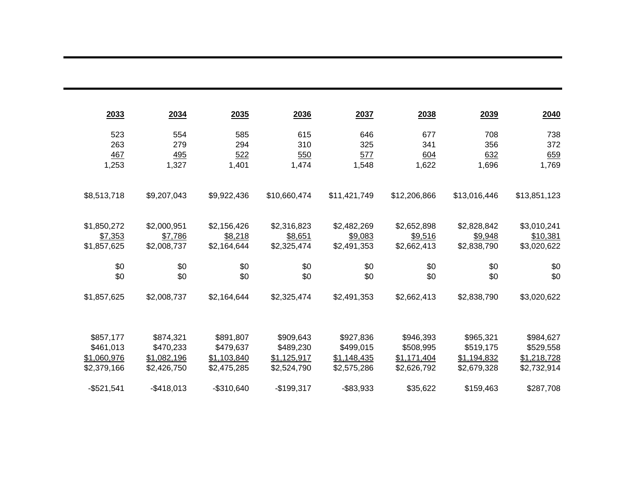| 2033        | 2034        | 2035        | 2036         | 2037         | 2038         | 2039         | 2040         |
|-------------|-------------|-------------|--------------|--------------|--------------|--------------|--------------|
| 523         | 554         | 585         | 615          | 646          | 677          | 708          | 738          |
| 263         | 279         | 294         | 310          | 325          | 341          | 356          | 372          |
| 467         | 495         | 522         | 550          | 577          | 604          | 632          | 659          |
| 1,253       | 1,327       | 1,401       | 1,474        | 1,548        | 1,622        | 1,696        | 1,769        |
| \$8,513,718 | \$9,207,043 | \$9,922,436 | \$10,660,474 | \$11,421,749 | \$12,206,866 | \$13,016,446 | \$13,851,123 |
| \$1,850,272 | \$2,000,951 | \$2,156,426 | \$2,316,823  | \$2,482,269  | \$2,652,898  | \$2,828,842  | \$3,010,241  |
| \$7,353     | \$7,786     | \$8,218     | \$8,651      | \$9,083      | \$9,516      | \$9,948      | \$10,381     |
| \$1,857,625 | \$2,008,737 | \$2,164,644 | \$2,325,474  | \$2,491,353  | \$2,662,413  | \$2,838,790  | \$3,020,622  |
| \$0         | \$0         | \$0         | \$0          | \$0          | \$0          | \$0          | \$0          |
| \$0         | \$0         | \$0         | \$0          | \$0          | \$0          | \$0          | \$0          |
| \$1,857,625 | \$2,008,737 | \$2,164,644 | \$2,325,474  | \$2,491,353  | \$2,662,413  | \$2,838,790  | \$3,020,622  |
| \$857,177   | \$874,321   | \$891,807   | \$909,643    | \$927,836    | \$946,393    | \$965,321    | \$984,627    |
| \$461,013   | \$470,233   | \$479,637   | \$489,230    | \$499,015    | \$508,995    | \$519,175    | \$529,558    |
| \$1,060,976 | \$1,082,196 | \$1,103,840 | \$1,125,917  | \$1,148,435  | \$1,171,404  | \$1,194,832  | \$1,218,728  |
| \$2,379,166 | \$2,426,750 | \$2,475,285 | \$2,524,790  | \$2,575,286  | \$2,626,792  | \$2,679,328  | \$2,732,914  |
| $-$521,541$ | $-$418,013$ | $-$310,640$ | $-$199,317$  | $-$ \$83,933 | \$35,622     | \$159,463    | \$287,708    |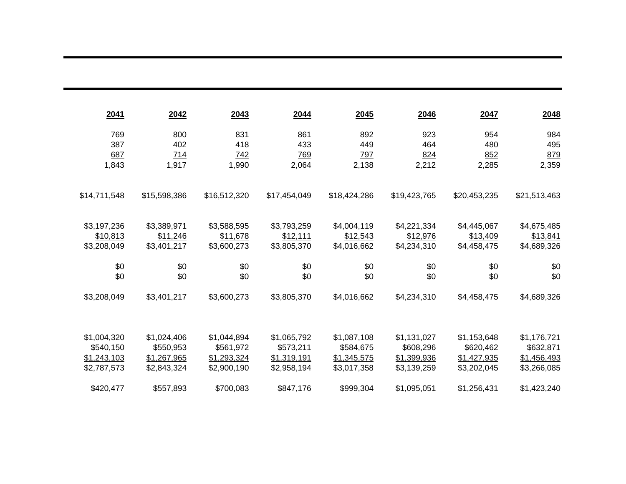| 2041         | 2042         | 2043         | 2044         | 2045         | 2046         | 2047         | 2048         |
|--------------|--------------|--------------|--------------|--------------|--------------|--------------|--------------|
| 769          | 800          | 831          | 861          | 892          | 923          | 954          | 984          |
| 387          | 402          | 418          | 433          | 449          | 464          | 480          | 495          |
| 687          | 714          | <u>742</u>   | 769          | <u>797</u>   | 824          | 852          | 879          |
| 1,843        | 1,917        | 1,990        | 2,064        | 2,138        | 2,212        | 2,285        | 2,359        |
| \$14,711,548 | \$15,598,386 | \$16,512,320 | \$17,454,049 | \$18,424,286 | \$19,423,765 | \$20,453,235 | \$21,513,463 |
| \$3,197,236  | \$3,389,971  | \$3,588,595  | \$3,793,259  | \$4,004,119  | \$4,221,334  | \$4,445,067  | \$4,675,485  |
| \$10,813     | \$11,246     | \$11,678     | \$12,111     | \$12,543     | \$12,976     | \$13,409     | \$13,841     |
| \$3,208,049  | \$3,401,217  | \$3,600,273  | \$3,805,370  | \$4,016,662  | \$4,234,310  | \$4,458,475  | \$4,689,326  |
| \$0          | \$0          | \$0          | \$0          | \$0          | \$0          | \$0          | \$0          |
| \$0          | \$0          | \$0          | \$0          | \$0          | \$0          | \$0          | \$0          |
| \$3,208,049  | \$3,401,217  | \$3,600,273  | \$3,805,370  | \$4,016,662  | \$4,234,310  | \$4,458,475  | \$4,689,326  |
| \$1,004,320  | \$1,024,406  | \$1,044,894  | \$1,065,792  | \$1,087,108  | \$1,131,027  | \$1,153,648  | \$1,176,721  |
| \$540,150    | \$550,953    | \$561,972    | \$573,211    | \$584,675    | \$608,296    | \$620,462    | \$632,871    |
| \$1,243,103  | \$1,267,965  | \$1,293,324  | \$1,319,191  | \$1,345,575  | \$1,399,936  | \$1,427,935  | \$1,456,493  |
| \$2,787,573  | \$2,843,324  | \$2,900,190  | \$2,958,194  | \$3,017,358  | \$3,139,259  | \$3,202,045  | \$3,266,085  |
| \$420,477    | \$557,893    | \$700,083    | \$847,176    | \$999,304    | \$1,095,051  | \$1,256,431  | \$1,423,240  |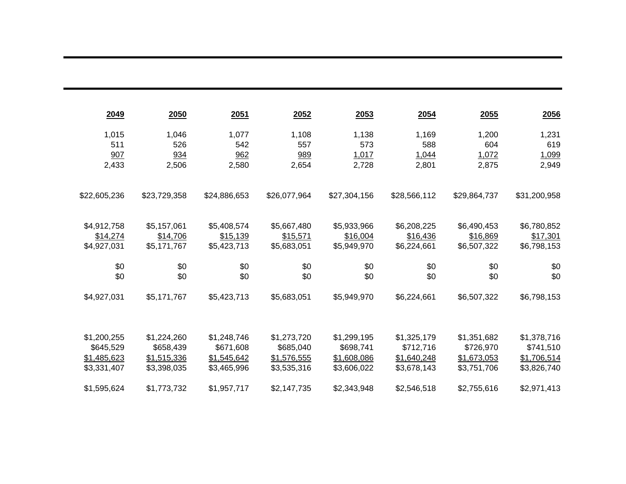| 2049         | 2050         | 2051         | 2052         | 2053         | 2054         | 2055         | <u>2056</u>  |
|--------------|--------------|--------------|--------------|--------------|--------------|--------------|--------------|
| 1,015        | 1,046        | 1,077        | 1,108        | 1,138        | 1,169        | 1,200        | 1,231        |
| 511          | 526          | 542          | 557          | 573          | 588          | 604          | 619          |
| 907          | 934          | 962          | 989          | 1,017        | 1,044        | 1,072        | 1,099        |
| 2,433        | 2,506        | 2,580        | 2,654        | 2,728        | 2,801        | 2,875        | 2,949        |
| \$22,605,236 | \$23,729,358 | \$24,886,653 | \$26,077,964 | \$27,304,156 | \$28,566,112 | \$29,864,737 | \$31,200,958 |
| \$4,912,758  | \$5,157,061  | \$5,408,574  | \$5,667,480  | \$5,933,966  | \$6,208,225  | \$6,490,453  | \$6,780,852  |
| \$14,274     | \$14,706     | \$15,139     | \$15,571     | \$16,004     | \$16,436     | \$16,869     | \$17,301     |
| \$4,927,031  | \$5,171,767  | \$5,423,713  | \$5,683,051  | \$5,949,970  | \$6,224,661  | \$6,507,322  | \$6,798,153  |
| \$0          | \$0          | \$0          | \$0          | \$0          | \$0          | \$0          | \$0          |
| \$0          | \$0          | \$0          | \$0          | \$0          | \$0          | \$0          | \$0          |
| \$4,927,031  | \$5,171,767  | \$5,423,713  | \$5,683,051  | \$5,949,970  | \$6,224,661  | \$6,507,322  | \$6,798,153  |
|              |              |              |              |              |              |              |              |
| \$1,200,255  | \$1,224,260  | \$1,248,746  | \$1,273,720  | \$1,299,195  | \$1,325,179  | \$1,351,682  | \$1,378,716  |
| \$645,529    | \$658,439    | \$671,608    | \$685,040    | \$698,741    | \$712,716    | \$726,970    | \$741,510    |
| \$1,485,623  | \$1,515,336  | \$1,545,642  | \$1,576,555  | \$1,608,086  | \$1,640,248  | \$1,673,053  | \$1,706,514  |
| \$3,331,407  | \$3,398,035  | \$3,465,996  | \$3,535,316  | \$3,606,022  | \$3,678,143  | \$3,751,706  | \$3,826,740  |
| \$1,595,624  | \$1,773,732  | \$1,957,717  | \$2,147,735  | \$2,343,948  | \$2,546,518  | \$2,755,616  | \$2,971,413  |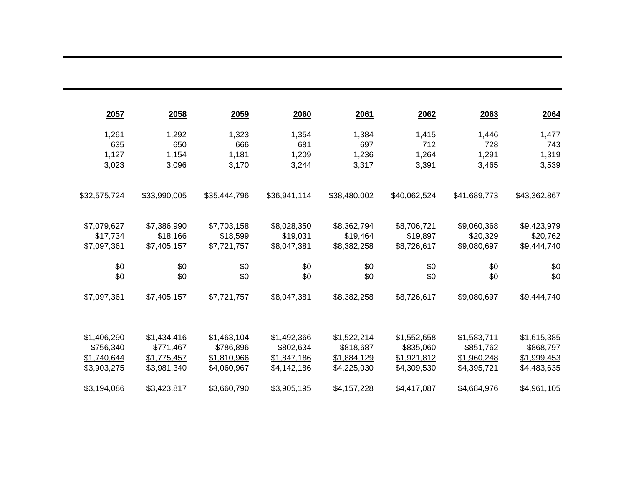| 2057         | 2058         | 2059         | <b>2060</b>  | 2061         | 2062         | 2063         | 2064         |
|--------------|--------------|--------------|--------------|--------------|--------------|--------------|--------------|
| 1,261        | 1,292        | 1,323        | 1,354        | 1,384        | 1,415        | 1,446        | 1,477        |
| 635          | 650          | 666          | 681          | 697          | 712          | 728          | 743          |
| 1,127        | 1,154        | 1,181        | 1,209        | 1,236        | 1,264        | 1,291        | 1,319        |
| 3,023        | 3,096        | 3,170        | 3,244        | 3,317        | 3,391        | 3,465        | 3,539        |
| \$32,575,724 | \$33,990,005 | \$35,444,796 | \$36,941,114 | \$38,480,002 | \$40,062,524 | \$41,689,773 | \$43,362,867 |
| \$7,079,627  | \$7,386,990  | \$7,703,158  | \$8,028,350  | \$8,362,794  | \$8,706,721  | \$9,060,368  | \$9,423,979  |
| \$17,734     | \$18,166     | \$18,599     | \$19,031     | \$19,464     | \$19,897     | \$20,329     | \$20,762     |
| \$7,097,361  | \$7,405,157  | \$7,721,757  | \$8,047,381  | \$8,382,258  | \$8,726,617  | \$9,080,697  | \$9,444,740  |
| \$0          | \$0          | \$0          | \$0          | \$0          | \$0          | \$0          | \$0          |
| \$0          | \$0          | \$0          | \$0          | \$0          | \$0          | \$0          | \$0          |
| \$7,097,361  | \$7,405,157  | \$7,721,757  | \$8,047,381  | \$8,382,258  | \$8,726,617  | \$9,080,697  | \$9,444,740  |
|              |              |              |              |              |              |              |              |
| \$1,406,290  | \$1,434,416  | \$1,463,104  | \$1,492,366  | \$1,522,214  | \$1,552,658  | \$1,583,711  | \$1,615,385  |
| \$756,340    | \$771,467    | \$786,896    | \$802,634    | \$818,687    | \$835,060    | \$851,762    | \$868,797    |
| \$1,740,644  | \$1,775,457  | \$1,810,966  | \$1,847,186  | \$1,884,129  | \$1,921,812  | \$1,960,248  | \$1,999,453  |
| \$3,903,275  | \$3,981,340  | \$4,060,967  | \$4,142,186  | \$4,225,030  | \$4,309,530  | \$4,395,721  | \$4,483,635  |
| \$3,194,086  | \$3,423,817  | \$3,660,790  | \$3,905,195  | \$4,157,228  | \$4,417,087  | \$4,684,976  | \$4,961,105  |